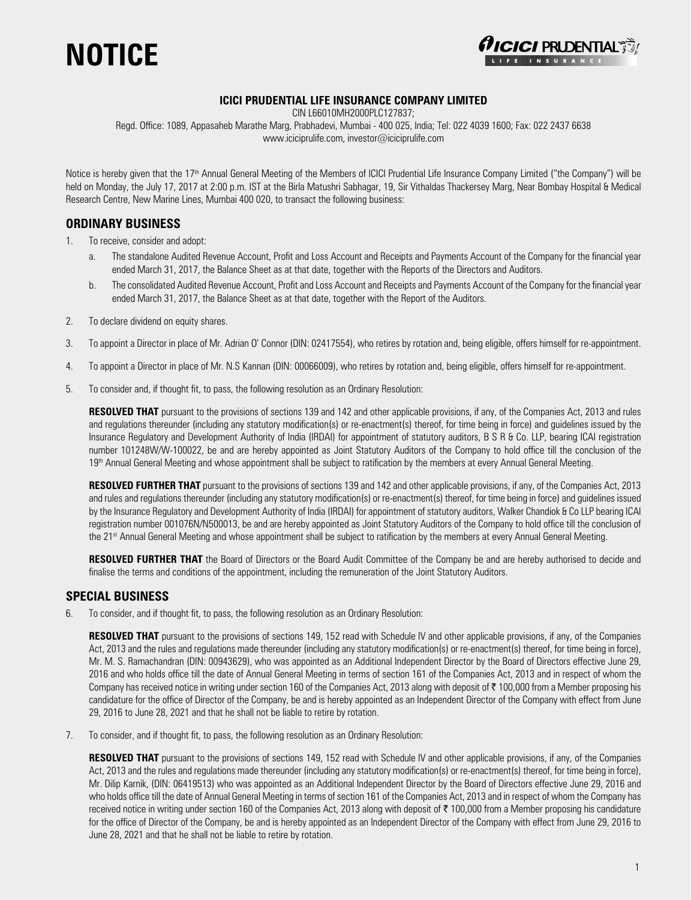



#### **ICICI PRUDENTIAL LIFE INSURANCE COMPANY LIMITED**

CIN L66010MH2000PLC127837;

Regd. Office: 1089, Appasaheb Marathe Marg, Prabhadevi, Mumbai - 400 025, India; Tel: 022 4039 1600; Fax: 022 2437 6638 www.iciciprulife.com, investor@iciciprulife.com

Notice is hereby given that the 17<sup>th</sup> Annual General Meeting of the Members of ICICI Prudential Life Insurance Company Limited ("the Company") will be held on Monday, the July 17, 2017 at 2:00 p.m. IST at the Birla Matushri Sabhagar, 19, Sir Vithaldas Thackersey Marg, Near Bombay Hospital & Medical Research Centre, New Marine Lines, Mumbai 400 020, to transact the following business:

### **ORDINARY BUSINESS**

1. To receive, consider and adopt:

- a. The standalone Audited Revenue Account, Profit and Loss Account and Receipts and Payments Account of the Company for the financial year ended March 31, 2017, the Balance Sheet as at that date, together with the Reports of the Directors and Auditors.
- b. The consolidated Audited Revenue Account, Profit and Loss Account and Receipts and Payments Account of the Company for the financial year ended March 31, 2017, the Balance Sheet as at that date, together with the Report of the Auditors.
- 2. To declare dividend on equity shares.
- 3. To appoint a Director in place of Mr. Adrian O' Connor (DIN: 02417554), who retires by rotation and, being eligible, offers himself for re-appointment.
- 4. To appoint a Director in place of Mr. N.S Kannan (DIN: 00066009), who retires by rotation and, being eligible, offers himself for re-appointment.
- 5. To consider and, if thought fit, to pass, the following resolution as an Ordinary Resolution:

 **RESOLVED THAT** pursuant to the provisions of sections 139 and 142 and other applicable provisions, if any, of the Companies Act, 2013 and rules and regulations thereunder (including any statutory modification(s) or re-enactment(s) thereof, for time being in force) and guidelines issued by the Insurance Regulatory and Development Authority of India (IRDAI) for appointment of statutory auditors, B S R & Co. LLP, bearing ICAI registration number 101248W/W-100022, be and are hereby appointed as Joint Statutory Auditors of the Company to hold office till the conclusion of the 19<sup>th</sup> Annual General Meeting and whose appointment shall be subject to ratification by the members at every Annual General Meeting.

**RESOLVED FURTHER THAT** pursuant to the provisions of sections 139 and 142 and other applicable provisions, if any, of the Companies Act, 2013 and rules and regulations thereunder (including any statutory modification(s) or re-enactment(s) thereof, for time being in force) and guidelines issued by the Insurance Regulatory and Development Authority of India (IRDAI) for appointment of statutory auditors, Walker Chandiok & Co LLP bearing ICAI registration number 001076N/N500013, be and are hereby appointed as Joint Statutory Auditors of the Company to hold office till the conclusion of the 21st Annual General Meeting and whose appointment shall be subject to ratification by the members at every Annual General Meeting.

 **RESOLVED FURTHER THAT** the Board of Directors or the Board Audit Committee of the Company be and are hereby authorised to decide and finalise the terms and conditions of the appointment, including the remuneration of the Joint Statutory Auditors.

#### **SPECIAL BUSINESS**

6. To consider, and if thought fit, to pass, the following resolution as an Ordinary Resolution:

**RESOLVED THAT** pursuant to the provisions of sections 149, 152 read with Schedule IV and other applicable provisions, if any, of the Companies Act, 2013 and the rules and regulations made thereunder (including any statutory modification(s) or re-enactment(s) thereof, for time being in force), Mr. M. S. Ramachandran (DIN: 00943629), who was appointed as an Additional Independent Director by the Board of Directors effective June 29, 2016 and who holds office till the date of Annual General Meeting in terms of section 161 of the Companies Act, 2013 and in respect of whom the Company has received notice in writing under section 160 of the Companies Act, 2013 along with deposit of  $\bar{\tau}$  100,000 from a Member proposing his candidature for the office of Director of the Company, be and is hereby appointed as an Independent Director of the Company with effect from June 29, 2016 to June 28, 2021 and that he shall not be liable to retire by rotation.

7. To consider, and if thought fit, to pass, the following resolution as an Ordinary Resolution:

 **RESOLVED THAT** pursuant to the provisions of sections 149, 152 read with Schedule IV and other applicable provisions, if any, of the Companies Act, 2013 and the rules and regulations made thereunder (including any statutory modification(s) or re-enactment(s) thereof, for time being in force), Mr. Dilip Karnik, (DIN: 06419513) who was appointed as an Additional Independent Director by the Board of Directors effective June 29, 2016 and who holds office till the date of Annual General Meeting in terms of section 161 of the Companies Act, 2013 and in respect of whom the Company has received notice in writing under section 160 of the Companies Act, 2013 along with deposit of  $\bar{\tau}$  100,000 from a Member proposing his candidature for the office of Director of the Company, be and is hereby appointed as an Independent Director of the Company with effect from June 29, 2016 to June 28, 2021 and that he shall not be liable to retire by rotation.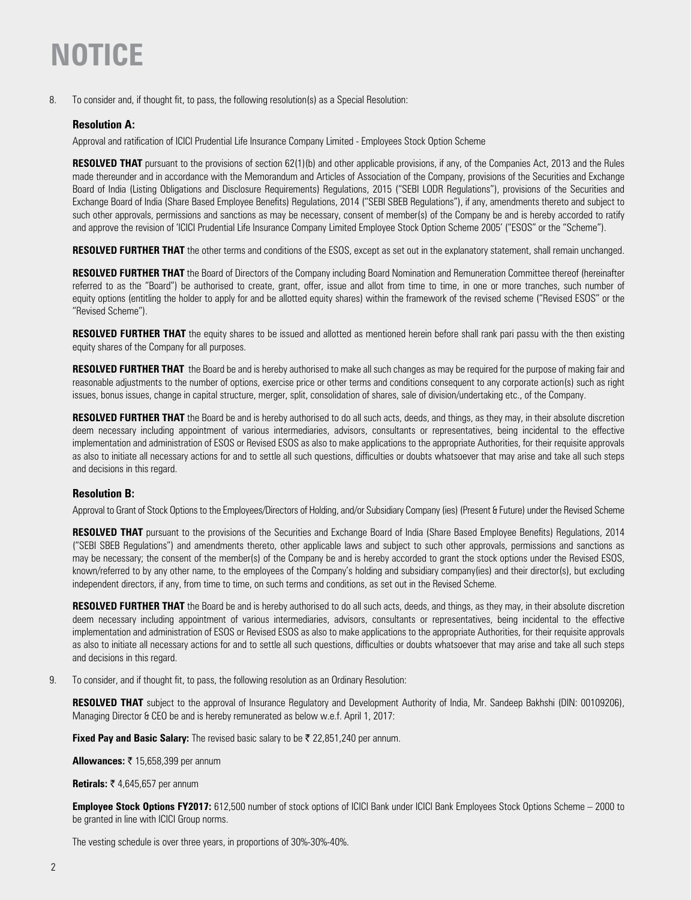8. To consider and, if thought fit, to pass, the following resolution(s) as a Special Resolution:

### **Resolution A:**

Approval and ratification of ICICI Prudential Life Insurance Company Limited - Employees Stock Option Scheme

**RESOLVED THAT** pursuant to the provisions of section 62(1)(b) and other applicable provisions, if any, of the Companies Act, 2013 and the Rules made thereunder and in accordance with the Memorandum and Articles of Association of the Company, provisions of the Securities and Exchange Board of India (Listing Obligations and Disclosure Requirements) Regulations, 2015 ("SEBI LODR Regulations"), provisions of the Securities and Exchange Board of India (Share Based Employee Benefits) Regulations, 2014 ("SEBI SBEB Regulations"), if any, amendments thereto and subject to such other approvals, permissions and sanctions as may be necessary, consent of member(s) of the Company be and is hereby accorded to ratify and approve the revision of 'ICICI Prudential Life Insurance Company Limited Employee Stock Option Scheme 2005' ("ESOS" or the "Scheme").

**RESOLVED FURTHER THAT** the other terms and conditions of the ESOS, except as set out in the explanatory statement, shall remain unchanged.

 **RESOLVED FURTHER THAT** the Board of Directors of the Company including Board Nomination and Remuneration Committee thereof (hereinafter referred to as the "Board") be authorised to create, grant, offer, issue and allot from time to time, in one or more tranches, such number of equity options (entitling the holder to apply for and be allotted equity shares) within the framework of the revised scheme ("Revised ESOS" or the "Revised Scheme").

**RESOLVED FURTHER THAT** the equity shares to be issued and allotted as mentioned herein before shall rank pari passu with the then existing equity shares of the Company for all purposes.

 **RESOLVED FURTHER THAT** the Board be and is hereby authorised to make all such changes as may be required for the purpose of making fair and reasonable adjustments to the number of options, exercise price or other terms and conditions consequent to any corporate action(s) such as right issues, bonus issues, change in capital structure, merger, split, consolidation of shares, sale of division/undertaking etc., of the Company.

RESOLVED FURTHER THAT the Board be and is hereby authorised to do all such acts, deeds, and things, as they may, in their absolute discretion deem necessary including appointment of various intermediaries, advisors, consultants or representatives, being incidental to the effective implementation and administration of ESOS or Revised ESOS as also to make applications to the appropriate Authorities, for their requisite approvals as also to initiate all necessary actions for and to settle all such questions, difficulties or doubts whatsoever that may arise and take all such steps and decisions in this regard.

#### **Resolution B:**

Approval to Grant of Stock Options to the Employees/Directors of Holding, and/or Subsidiary Company (ies) (Present & Future) under the Revised Scheme

**RESOLVED THAT** pursuant to the provisions of the Securities and Exchange Board of India (Share Based Employee Benefits) Regulations, 2014 ("SEBI SBEB Regulations") and amendments thereto, other applicable laws and subject to such other approvals, permissions and sanctions as may be necessary; the consent of the member(s) of the Company be and is hereby accorded to grant the stock options under the Revised ESOS, known/referred to by any other name, to the employees of the Company's holding and subsidiary company(ies) and their director(s), but excluding independent directors, if any, from time to time, on such terms and conditions, as set out in the Revised Scheme.

**RESOLVED FURTHER THAT** the Board be and is hereby authorised to do all such acts, deeds, and things, as they may, in their absolute discretion deem necessary including appointment of various intermediaries, advisors, consultants or representatives, being incidental to the effective implementation and administration of ESOS or Revised ESOS as also to make applications to the appropriate Authorities, for their requisite approvals as also to initiate all necessary actions for and to settle all such questions, difficulties or doubts whatsoever that may arise and take all such steps and decisions in this regard.

9. To consider, and if thought fit, to pass, the following resolution as an Ordinary Resolution:

**RESOLVED THAT** subject to the approval of Insurance Regulatory and Development Authority of India, Mr. Sandeep Bakhshi (DIN: 00109206), Managing Director & CEO be and is hereby remunerated as below w.e.f. April 1, 2017:

**Fixed Pay and Basic Salary:** The revised basic salary to be ₹ 22,851,240 per annum.

**Allowances:** ₹ 15,658,399 per annum

**Retirals: ₹ 4,645,657 per annum** 

 **Employee Stock Options FY2017:** 612,500 number of stock options of ICICI Bank under ICICI Bank Employees Stock Options Scheme – 2000 to be granted in line with ICICI Group norms.

The vesting schedule is over three years, in proportions of 30%-30%-40%.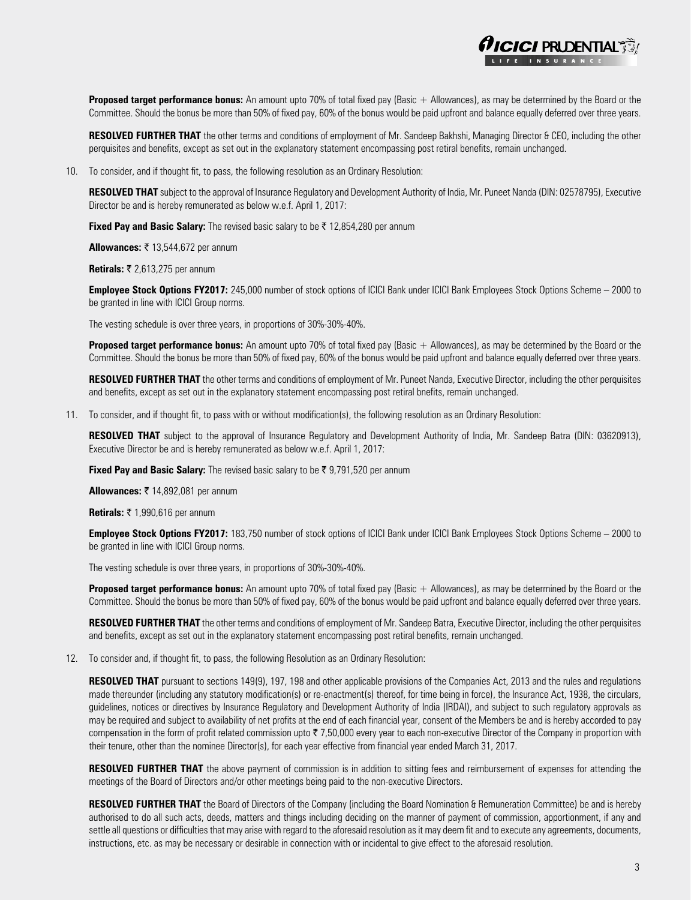

**Proposed target performance bonus:** An amount upto 70% of total fixed pay (Basic + Allowances), as may be determined by the Board or the Committee. Should the bonus be more than 50% of fixed pay, 60% of the bonus would be paid upfront and balance equally deferred over three years.

RESOLVED FURTHER THAT the other terms and conditions of employment of Mr. Sandeep Bakhshi, Managing Director & CEO, including the other perquisites and benefits, except as set out in the explanatory statement encompassing post retiral benefits, remain unchanged.

10. To consider, and if thought fit, to pass, the following resolution as an Ordinary Resolution:

 **RESOLVED THAT** subject to the approval of Insurance Regulatory and Development Authority of India, Mr. Puneet Nanda (DIN: 02578795), Executive Director be and is hereby remunerated as below w.e.f. April 1, 2017:

**Fixed Pay and Basic Salary:** The revised basic salary to be  $\bar{\tau}$  12,854,280 per annum

**Allowances: ₹ 13,544,672 per annum** 

**Retirals: ₹ 2,613,275 per annum** 

 **Employee Stock Options FY2017:** 245,000 number of stock options of ICICI Bank under ICICI Bank Employees Stock Options Scheme – 2000 to be granted in line with ICICI Group norms.

The vesting schedule is over three years, in proportions of 30%-30%-40%.

**Proposed target performance bonus:** An amount upto 70% of total fixed pay (Basic + Allowances), as may be determined by the Board or the Committee. Should the bonus be more than 50% of fixed pay, 60% of the bonus would be paid upfront and balance equally deferred over three years.

 **RESOLVED FURTHER THAT** the other terms and conditions of employment of Mr. Puneet Nanda, Executive Director, including the other perquisites and benefits, except as set out in the explanatory statement encompassing post retiral bnefits, remain unchanged.

11. To consider, and if thought fit, to pass with or without modification(s), the following resolution as an Ordinary Resolution:

 **RESOLVED THAT** subject to the approval of Insurance Regulatory and Development Authority of India, Mr. Sandeep Batra (DIN: 03620913), Executive Director be and is hereby remunerated as below w.e.f. April 1, 2017:

**Fixed Pay and Basic Salary:** The revised basic salary to be ₹ 9,791,520 per annum

**Allowances: ₹ 14,892,081 per annum** 

**Retirals: ₹ 1,990,616 per annum** 

 **Employee Stock Options FY2017:** 183,750 number of stock options of ICICI Bank under ICICI Bank Employees Stock Options Scheme – 2000 to be granted in line with ICICI Group norms.

The vesting schedule is over three years, in proportions of 30%-30%-40%.

**Proposed target performance bonus:** An amount upto 70% of total fixed pay (Basic + Allowances), as may be determined by the Board or the Committee. Should the bonus be more than 50% of fixed pay, 60% of the bonus would be paid upfront and balance equally deferred over three years.

 **RESOLVED FURTHER THAT** the other terms and conditions of employment of Mr. Sandeep Batra, Executive Director, including the other perquisites and benefits, except as set out in the explanatory statement encompassing post retiral benefits, remain unchanged.

12. To consider and, if thought fit, to pass, the following Resolution as an Ordinary Resolution:

 **RESOLVED THAT** pursuant to sections 149(9), 197, 198 and other applicable provisions of the Companies Act, 2013 and the rules and regulations made thereunder (including any statutory modification(s) or re-enactment(s) thereof, for time being in force), the Insurance Act, 1938, the circulars, guidelines, notices or directives by Insurance Regulatory and Development Authority of India (IRDAI), and subject to such regulatory approvals as may be required and subject to availability of net profits at the end of each financial year, consent of the Members be and is hereby accorded to pay compensation in the form of profit related commission upto  $\overline{\tau}$  7,50,000 every year to each non-executive Director of the Company in proportion with their tenure, other than the nominee Director(s), for each year effective from financial year ended March 31, 2017.

 **RESOLVED FURTHER THAT** the above payment of commission is in addition to sitting fees and reimbursement of expenses for attending the meetings of the Board of Directors and/or other meetings being paid to the non-executive Directors.

 **RESOLVED FURTHER THAT** the Board of Directors of the Company (including the Board Nomination & Remuneration Committee) be and is hereby authorised to do all such acts, deeds, matters and things including deciding on the manner of payment of commission, apportionment, if any and settle all questions or difficulties that may arise with regard to the aforesaid resolution as it may deem fit and to execute any agreements, documents, instructions, etc. as may be necessary or desirable in connection with or incidental to give effect to the aforesaid resolution.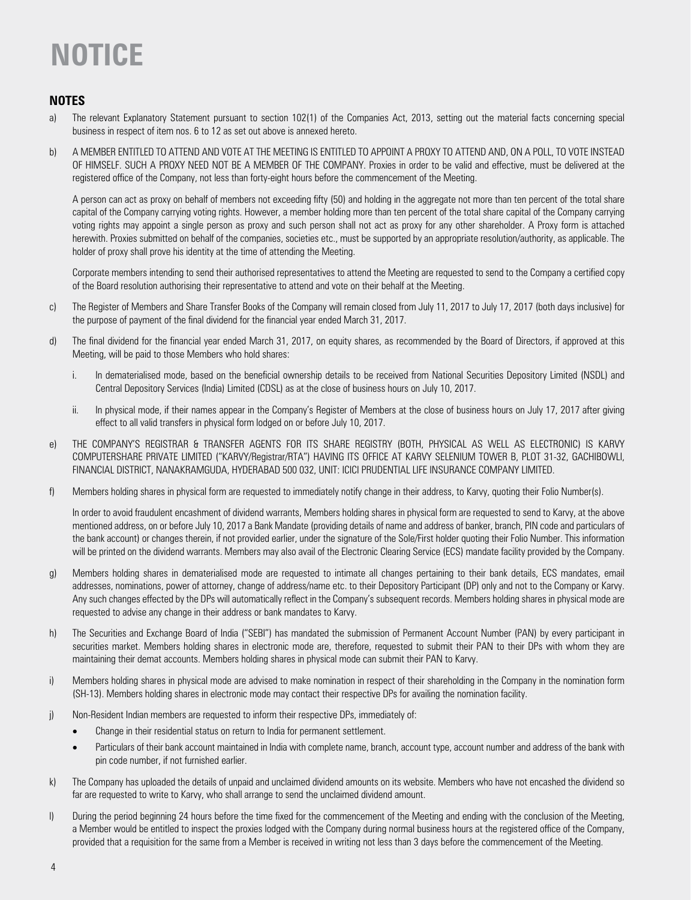### **NOTES**

- a) The relevant Explanatory Statement pursuant to section 102(1) of the Companies Act, 2013, setting out the material facts concerning special business in respect of item nos. 6 to 12 as set out above is annexed hereto.
- b) A MEMBER ENTITLED TO ATTEND AND VOTE AT THE MEETING IS ENTITLED TO APPOINT A PROXY TO ATTEND AND, ON A POLL, TO VOTE INSTEAD OF HIMSELF. SUCH A PROXY NEED NOT BE A MEMBER OF THE COMPANY. Proxies in order to be valid and effective, must be delivered at the registered office of the Company, not less than forty-eight hours before the commencement of the Meeting.

 A person can act as proxy on behalf of members not exceeding fifty (50) and holding in the aggregate not more than ten percent of the total share capital of the Company carrying voting rights. However, a member holding more than ten percent of the total share capital of the Company carrying voting rights may appoint a single person as proxy and such person shall not act as proxy for any other shareholder. A Proxy form is attached herewith. Proxies submitted on behalf of the companies, societies etc., must be supported by an appropriate resolution/authority, as applicable. The holder of proxy shall prove his identity at the time of attending the Meeting.

 Corporate members intending to send their authorised representatives to attend the Meeting are requested to send to the Company a certified copy of the Board resolution authorising their representative to attend and vote on their behalf at the Meeting.

- c) The Register of Members and Share Transfer Books of the Company will remain closed from July 11, 2017 to July 17, 2017 (both days inclusive) for the purpose of payment of the final dividend for the financial year ended March 31, 2017.
- d) The final dividend for the financial year ended March 31, 2017, on equity shares, as recommended by the Board of Directors, if approved at this Meeting, will be paid to those Members who hold shares:
	- i. In dematerialised mode, based on the beneficial ownership details to be received from National Securities Depository Limited (NSDL) and Central Depository Services (India) Limited (CDSL) as at the close of business hours on July 10, 2017.
	- ii. In physical mode, if their names appear in the Company's Register of Members at the close of business hours on July 17, 2017 after giving effect to all valid transfers in physical form lodged on or before July 10, 2017.
- e) THE COMPANY'S REGISTRAR & TRANSFER AGENTS FOR ITS SHARE REGISTRY (BOTH, PHYSICAL AS WELL AS ELECTRONIC) IS KARVY COMPUTERSHARE PRIVATE LIMITED ("KARVY/Registrar/RTA") HAVING ITS OFFICE AT KARVY SELENIUM TOWER B, PLOT 31-32, GACHIBOWLI, FINANCIAL DISTRICT, NANAKRAMGUDA, HYDERABAD 500 032, UNIT: ICICI PRUDENTIAL LIFE INSURANCE COMPANY LIMITED.
- f) Members holding shares in physical form are requested to immediately notify change in their address, to Karvy, quoting their Folio Number(s).

 In order to avoid fraudulent encashment of dividend warrants, Members holding shares in physical form are requested to send to Karvy, at the above mentioned address, on or before July 10, 2017 a Bank Mandate (providing details of name and address of banker, branch, PIN code and particulars of the bank account) or changes therein, if not provided earlier, under the signature of the Sole/First holder quoting their Folio Number. This information will be printed on the dividend warrants. Members may also avail of the Electronic Clearing Service (ECS) mandate facility provided by the Company.

- g) Members holding shares in dematerialised mode are requested to intimate all changes pertaining to their bank details, ECS mandates, email addresses, nominations, power of attorney, change of address/name etc. to their Depository Participant (DP) only and not to the Company or Karvy. Any such changes effected by the DPs will automatically reflect in the Company's subsequent records. Members holding shares in physical mode are requested to advise any change in their address or bank mandates to Karvy.
- h) The Securities and Exchange Board of India ("SEBI") has mandated the submission of Permanent Account Number (PAN) by every participant in securities market. Members holding shares in electronic mode are, therefore, requested to submit their PAN to their DPs with whom they are maintaining their demat accounts. Members holding shares in physical mode can submit their PAN to Karvy.
- i) Members holding shares in physical mode are advised to make nomination in respect of their shareholding in the Company in the nomination form (SH-13). Members holding shares in electronic mode may contact their respective DPs for availing the nomination facility.
- j) Non-Resident Indian members are requested to inform their respective DPs, immediately of:
	- Change in their residential status on return to India for permanent settlement.
	- Particulars of their bank account maintained in India with complete name, branch, account type, account number and address of the bank with pin code number, if not furnished earlier.
- k) The Company has uploaded the details of unpaid and unclaimed dividend amounts on its website. Members who have not encashed the dividend so far are requested to write to Karvy, who shall arrange to send the unclaimed dividend amount.
- l) During the period beginning 24 hours before the time fixed for the commencement of the Meeting and ending with the conclusion of the Meeting, a Member would be entitled to inspect the proxies lodged with the Company during normal business hours at the registered office of the Company, provided that a requisition for the same from a Member is received in writing not less than 3 days before the commencement of the Meeting.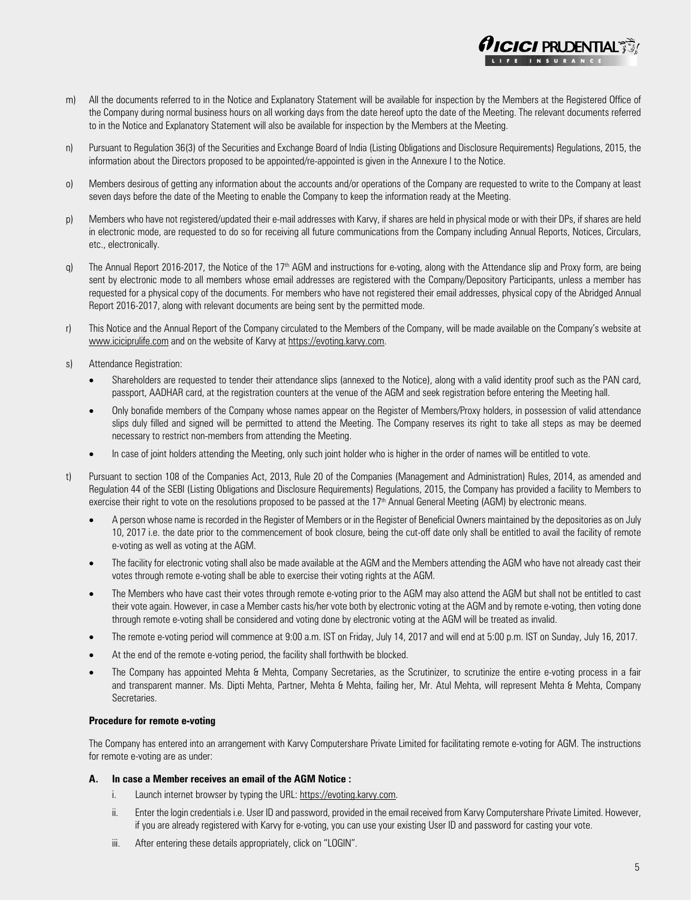

- n) Pursuant to Regulation 36(3) of the Securities and Exchange Board of India (Listing Obligations and Disclosure Requirements) Regulations, 2015, the information about the Directors proposed to be appointed/re-appointed is given in the Annexure I to the Notice.
- o) Members desirous of getting any information about the accounts and/or operations of the Company are requested to write to the Company at least seven days before the date of the Meeting to enable the Company to keep the information ready at the Meeting.
- p) Members who have not registered/updated their e-mail addresses with Karvy, if shares are held in physical mode or with their DPs, if shares are held in electronic mode, are requested to do so for receiving all future communications from the Company including Annual Reports, Notices, Circulars, etc., electronically.
- q) The Annual Report 2016-2017, the Notice of the 17<sup>th</sup> AGM and instructions for e-voting, along with the Attendance slip and Proxy form, are being sent by electronic mode to all members whose email addresses are registered with the Company/Depository Participants, unless a member has requested for a physical copy of the documents. For members who have not registered their email addresses, physical copy of the Abridged Annual Report 2016-2017, along with relevant documents are being sent by the permitted mode.
- r) This Notice and the Annual Report of the Company circulated to the Members of the Company, will be made available on the Company's website at www.iciciprulife.com and on the website of Karvy at https://evoting.karvy.com.
- s) Attendance Registration:
	- Shareholders are requested to tender their attendance slips (annexed to the Notice), along with a valid identity proof such as the PAN card, passport, AADHAR card, at the registration counters at the venue of the AGM and seek registration before entering the Meeting hall.
	- Only bonafide members of the Company whose names appear on the Register of Members/Proxy holders, in possession of valid attendance slips duly filled and signed will be permitted to attend the Meeting. The Company reserves its right to take all steps as may be deemed necessary to restrict non-members from attending the Meeting.
	- In case of joint holders attending the Meeting, only such joint holder who is higher in the order of names will be entitled to vote.
- t) Pursuant to section 108 of the Companies Act, 2013, Rule 20 of the Companies (Management and Administration) Rules, 2014, as amended and Regulation 44 of the SEBI (Listing Obligations and Disclosure Requirements) Regulations, 2015, the Company has provided a facility to Members to exercise their right to vote on the resolutions proposed to be passed at the 17<sup>th</sup> Annual General Meeting (AGM) by electronic means.
	- A person whose name is recorded in the Register of Members or in the Register of Beneficial Owners maintained by the depositories as on July 10, 2017 i.e. the date prior to the commencement of book closure, being the cut-off date only shall be entitled to avail the facility of remote e-voting as well as voting at the AGM.
	- The facility for electronic voting shall also be made available at the AGM and the Members attending the AGM who have not already cast their votes through remote e-voting shall be able to exercise their voting rights at the AGM.
	- The Members who have cast their votes through remote e-voting prior to the AGM may also attend the AGM but shall not be entitled to cast their vote again. However, in case a Member casts his/her vote both by electronic voting at the AGM and by remote e-voting, then voting done through remote e-voting shall be considered and voting done by electronic voting at the AGM will be treated as invalid.
	- The remote e-voting period will commence at 9:00 a.m. IST on Friday, July 14, 2017 and will end at 5:00 p.m. IST on Sunday, July 16, 2017.
	- At the end of the remote e-voting period, the facility shall forthwith be blocked.
	- The Company has appointed Mehta & Mehta, Company Secretaries, as the Scrutinizer, to scrutinize the entire e-voting process in a fair and transparent manner. Ms. Dipti Mehta, Partner, Mehta & Mehta, failing her, Mr. Atul Mehta, will represent Mehta & Mehta, Company Secretaries.

#### **Procedure for remote e-voting**

 The Company has entered into an arrangement with Karvy Computershare Private Limited for facilitating remote e-voting for AGM. The instructions for remote e-voting are as under:

#### **A. In case a Member receives an email of the AGM Notice :**

- i. Launch internet browser by typing the URL: https://evoting.karvy.com.
- ii. Enter the login credentials i.e. User ID and password, provided in the email received from Karvy Computershare Private Limited. However, if you are already registered with Karvy for e-voting, you can use your existing User ID and password for casting your vote.
- iii. After entering these details appropriately, click on "LOGIN".

 $\boldsymbol{C}$ / PRUDENTIAL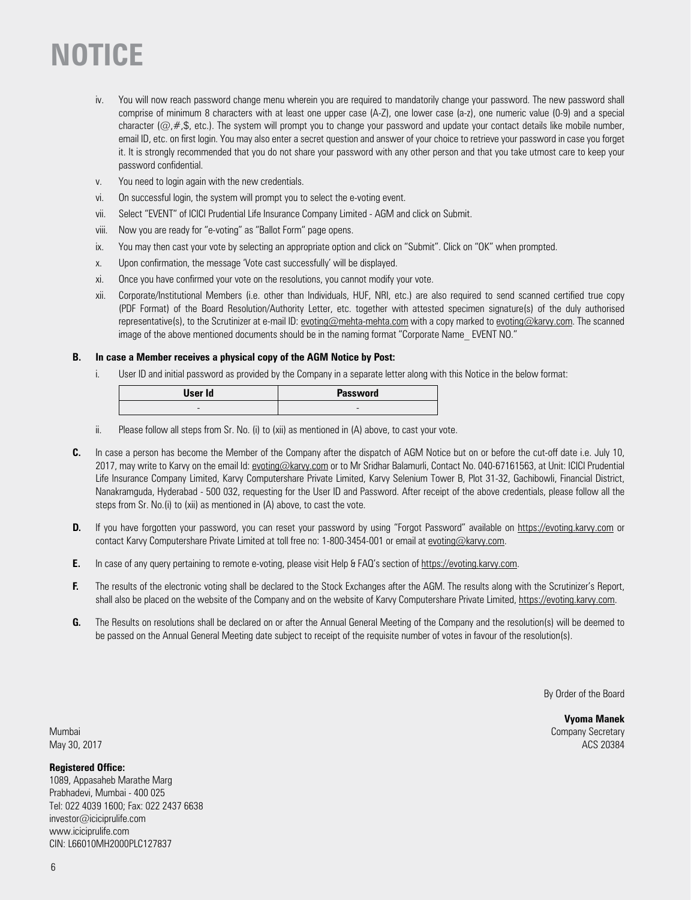- iv. You will now reach password change menu wherein you are required to mandatorily change your password. The new password shall comprise of minimum 8 characters with at least one upper case (A-Z), one lower case (a-z), one numeric value (0-9) and a special character ( $@, #$ ,\$, etc.). The system will prompt you to change your password and update your contact details like mobile number, email ID, etc. on first login. You may also enter a secret question and answer of your choice to retrieve your password in case you forget it. It is strongly recommended that you do not share your password with any other person and that you take utmost care to keep your password confidential.
- v. You need to login again with the new credentials.
- vi. On successful login, the system will prompt you to select the e-voting event.
- vii. Select "EVENT" of ICICI Prudential Life Insurance Company Limited AGM and click on Submit.
- viii. Now you are ready for "e-voting" as "Ballot Form" page opens.
- ix. You may then cast your vote by selecting an appropriate option and click on "Submit". Click on "OK" when prompted.
- x. Upon confirmation, the message 'Vote cast successfully' will be displayed.
- xi. Once you have confirmed your vote on the resolutions, you cannot modify your vote.
- xii. Corporate/Institutional Members (i.e. other than Individuals, HUF, NRI, etc.) are also required to send scanned certified true copy (PDF Format) of the Board Resolution/Authority Letter, etc. together with attested specimen signature(s) of the duly authorised representative(s), to the Scrutinizer at e-mail ID: evoting@mehta-mehta.com with a copy marked to evoting@karvy.com. The scanned image of the above mentioned documents should be in the naming format "Corporate Name EVENT NO."

#### **B. In case a Member receives a physical copy of the AGM Notice by Post:**

i. User ID and initial password as provided by the Company in a separate letter along with this Notice in the below format:

| User Id | <b>Password</b> |
|---------|-----------------|
| -       | -               |

- ii. Please follow all steps from Sr. No. (i) to (xii) as mentioned in (A) above, to cast your vote.
- **C.** In case a person has become the Member of the Company after the dispatch of AGM Notice but on or before the cut-off date i.e. July 10, 2017, may write to Karvy on the email Id: evoting@karvy.com or to Mr Sridhar Balamurli, Contact No. 040-67161563, at Unit: ICICI Prudential Life Insurance Company Limited, Karvy Computershare Private Limited, Karvy Selenium Tower B, Plot 31-32, Gachibowli, Financial District, Nanakramguda, Hyderabad - 500 032, requesting for the User ID and Password. After receipt of the above credentials, please follow all the steps from Sr. No.(i) to (xii) as mentioned in (A) above, to cast the vote.
- **D.** If you have forgotten your password, you can reset your password by using "Forgot Password" available on https://evoting.karvy.com or contact Karvy Computershare Private Limited at toll free no: 1-800-3454-001 or email at evoting@karvy.com.
- **E.** In case of any query pertaining to remote e-voting, please visit Help & FAQ's section of https://evoting.karvy.com.
- **F.** The results of the electronic voting shall be declared to the Stock Exchanges after the AGM. The results along with the Scrutinizer's Report, shall also be placed on the website of the Company and on the website of Karvy Computershare Private Limited, https://evoting.karvy.com.
- **G.** The Results on resolutions shall be declared on or after the Annual General Meeting of the Company and the resolution(s) will be deemed to be passed on the Annual General Meeting date subject to receipt of the requisite number of votes in favour of the resolution(s).

By Order of the Board

**Vyoma Manek** Mumbai Company Secretary May 30, 2017 ACS 20384

#### **Registered Office:**

1089, Appasaheb Marathe Marg Prabhadevi, Mumbai - 400 025 Tel: 022 4039 1600; Fax: 022 2437 6638 investor@iciciprulife.com www.iciciprulife.com CIN: L66010MH2000PLC127837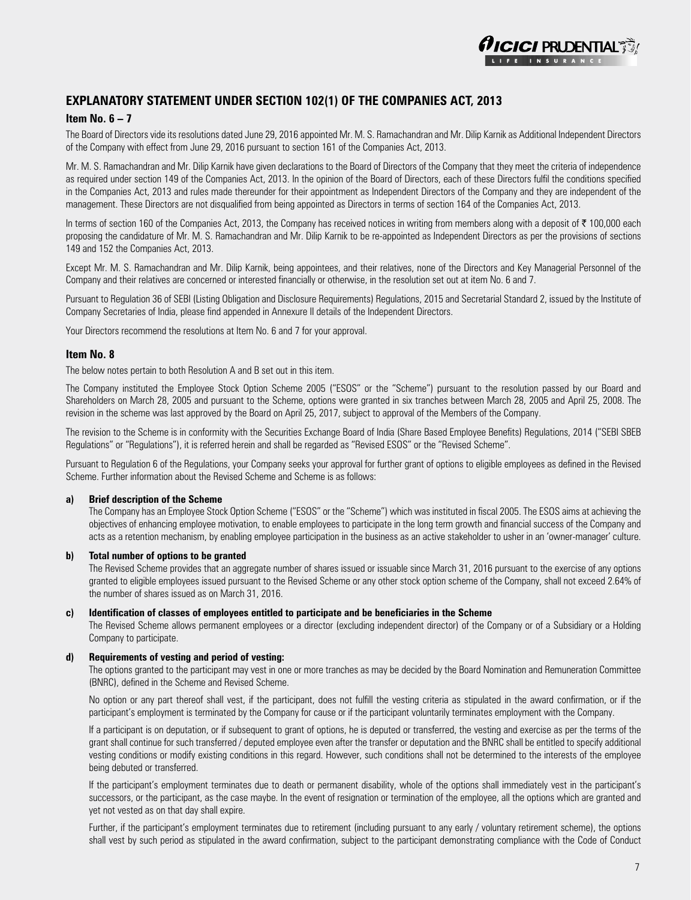

### **Explanatory Statement under Section 102(1) of the Companies Act, 2013**

#### **Item No. 6 – 7**

The Board of Directors vide its resolutions dated June 29, 2016 appointed Mr. M. S. Ramachandran and Mr. Dilip Karnik as Additional Independent Directors of the Company with effect from June 29, 2016 pursuant to section 161 of the Companies Act, 2013.

Mr. M. S. Ramachandran and Mr. Dilip Karnik have given declarations to the Board of Directors of the Company that they meet the criteria of independence as required under section 149 of the Companies Act, 2013. In the opinion of the Board of Directors, each of these Directors fulfil the conditions specified in the Companies Act, 2013 and rules made thereunder for their appointment as Independent Directors of the Company and they are independent of the management. These Directors are not disqualified from being appointed as Directors in terms of section 164 of the Companies Act, 2013.

In terms of section 160 of the Companies Act, 2013, the Company has received notices in writing from members along with a deposit of  $\bar{\tau}$  100,000 each proposing the candidature of Mr. M. S. Ramachandran and Mr. Dilip Karnik to be re-appointed as Independent Directors as per the provisions of sections 149 and 152 the Companies Act, 2013.

Except Mr. M. S. Ramachandran and Mr. Dilip Karnik, being appointees, and their relatives, none of the Directors and Key Managerial Personnel of the Company and their relatives are concerned or interested financially or otherwise, in the resolution set out at item No. 6 and 7.

Pursuant to Regulation 36 of SEBI (Listing Obligation and Disclosure Requirements) Regulations, 2015 and Secretarial Standard 2, issued by the Institute of Company Secretaries of India, please find appended in Annexure II details of the Independent Directors.

Your Directors recommend the resolutions at Item No. 6 and 7 for your approval.

#### **Item No. 8**

The below notes pertain to both Resolution A and B set out in this item.

The Company instituted the Employee Stock Option Scheme 2005 ("ESOS" or the "Scheme") pursuant to the resolution passed by our Board and Shareholders on March 28, 2005 and pursuant to the Scheme, options were granted in six tranches between March 28, 2005 and April 25, 2008. The revision in the scheme was last approved by the Board on April 25, 2017, subject to approval of the Members of the Company.

The revision to the Scheme is in conformity with the Securities Exchange Board of India (Share Based Employee Benefits) Regulations, 2014 ("SEBI SBEB Regulations" or "Regulations"), it is referred herein and shall be regarded as "Revised ESOS" or the "Revised Scheme".

Pursuant to Regulation 6 of the Regulations, your Company seeks your approval for further grant of options to eligible employees as defined in the Revised Scheme. Further information about the Revised Scheme and Scheme is as follows:

#### **a) Brief description of the Scheme**

 The Company has an Employee Stock Option Scheme ("ESOS" or the "Scheme") which was instituted in fiscal 2005. The ESOS aims at achieving the objectives of enhancing employee motivation, to enable employees to participate in the long term growth and financial success of the Company and acts as a retention mechanism, by enabling employee participation in the business as an active stakeholder to usher in an 'owner-manager' culture.

#### **b) Total number of options to be granted**

 The Revised Scheme provides that an aggregate number of shares issued or issuable since March 31, 2016 pursuant to the exercise of any options granted to eligible employees issued pursuant to the Revised Scheme or any other stock option scheme of the Company, shall not exceed 2.64% of the number of shares issued as on March 31, 2016.

#### **c) Identification of classes of employees entitled to participate and be beneficiaries in the Scheme**

 The Revised Scheme allows permanent employees or a director (excluding independent director) of the Company or of a Subsidiary or a Holding Company to participate.

#### **d) Requirements of vesting and period of vesting:**

 The options granted to the participant may vest in one or more tranches as may be decided by the Board Nomination and Remuneration Committee (BNRC), defined in the Scheme and Revised Scheme.

 No option or any part thereof shall vest, if the participant, does not fulfill the vesting criteria as stipulated in the award confirmation, or if the participant's employment is terminated by the Company for cause or if the participant voluntarily terminates employment with the Company.

 If a participant is on deputation, or if subsequent to grant of options, he is deputed or transferred, the vesting and exercise as per the terms of the grant shall continue for such transferred / deputed employee even after the transfer or deputation and the BNRC shall be entitled to specify additional vesting conditions or modify existing conditions in this regard. However, such conditions shall not be determined to the interests of the employee being debuted or transferred.

 If the participant's employment terminates due to death or permanent disability, whole of the options shall immediately vest in the participant's successors, or the participant, as the case maybe. In the event of resignation or termination of the employee, all the options which are granted and yet not vested as on that day shall expire.

 Further, if the participant's employment terminates due to retirement (including pursuant to any early / voluntary retirement scheme), the options shall vest by such period as stipulated in the award confirmation, subject to the participant demonstrating compliance with the Code of Conduct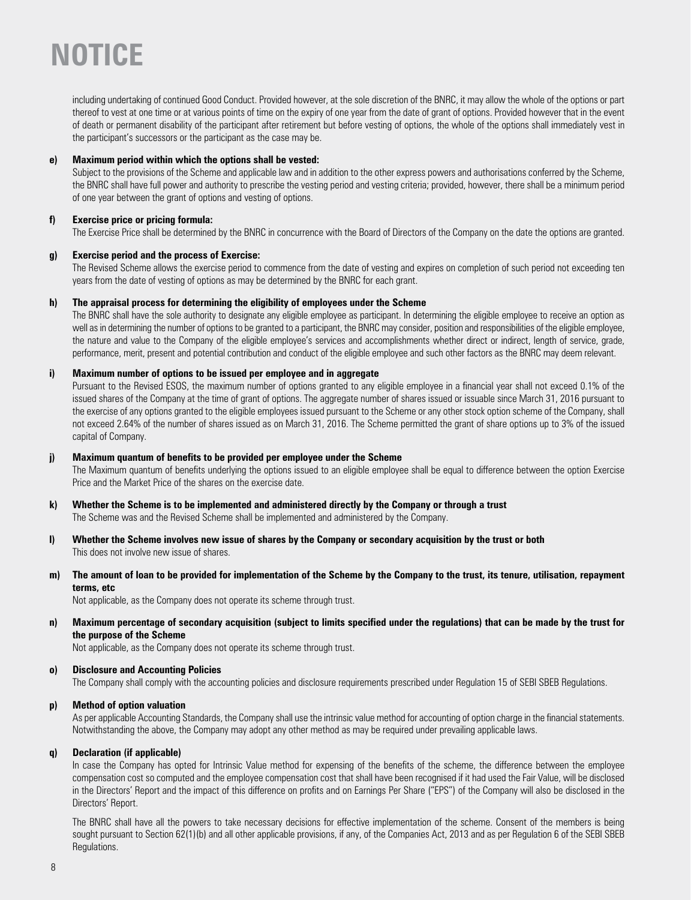including undertaking of continued Good Conduct. Provided however, at the sole discretion of the BNRC, it may allow the whole of the options or part thereof to vest at one time or at various points of time on the expiry of one year from the date of grant of options. Provided however that in the event of death or permanent disability of the participant after retirement but before vesting of options, the whole of the options shall immediately vest in the participant's successors or the participant as the case may be.

#### **e) Maximum period within which the options shall be vested:**

 Subject to the provisions of the Scheme and applicable law and in addition to the other express powers and authorisations conferred by the Scheme, the BNRC shall have full power and authority to prescribe the vesting period and vesting criteria; provided, however, there shall be a minimum period of one year between the grant of options and vesting of options.

#### **f) Exercise price or pricing formula:**

The Exercise Price shall be determined by the BNRC in concurrence with the Board of Directors of the Company on the date the options are granted.

#### **g) Exercise period and the process of Exercise:**

 The Revised Scheme allows the exercise period to commence from the date of vesting and expires on completion of such period not exceeding ten years from the date of vesting of options as may be determined by the BNRC for each grant.

#### **h) The appraisal process for determining the eligibility of employees under the Scheme**

 The BNRC shall have the sole authority to designate any eligible employee as participant. In determining the eligible employee to receive an option as well as in determining the number of options to be granted to a participant, the BNRC may consider, position and responsibilities of the eligible employee, the nature and value to the Company of the eligible employee's services and accomplishments whether direct or indirect, length of service, grade, performance, merit, present and potential contribution and conduct of the eligible employee and such other factors as the BNRC may deem relevant.

#### **i) Maximum number of options to be issued per employee and in aggregate**

 Pursuant to the Revised ESOS, the maximum number of options granted to any eligible employee in a financial year shall not exceed 0.1% of the issued shares of the Company at the time of grant of options. The aggregate number of shares issued or issuable since March 31, 2016 pursuant to the exercise of any options granted to the eligible employees issued pursuant to the Scheme or any other stock option scheme of the Company, shall not exceed 2.64% of the number of shares issued as on March 31, 2016. The Scheme permitted the grant of share options up to 3% of the issued capital of Company.

#### **j) Maximum quantum of benefits to be provided per employee under the Scheme**

 The Maximum quantum of benefits underlying the options issued to an eligible employee shall be equal to difference between the option Exercise Price and the Market Price of the shares on the exercise date.

#### **k) Whether the Scheme is to be implemented and administered directly by the Company or through a trust**

The Scheme was and the Revised Scheme shall be implemented and administered by the Company.

**l) Whether the Scheme involves new issue of shares by the Company or secondary acquisition by the trust or both**  This does not involve new issue of shares.

#### **m) The amount of loan to be provided for implementation of the Scheme by the Company to the trust, its tenure, utilisation, repayment terms, etc**

Not applicable, as the Company does not operate its scheme through trust.

**n) Maximum percentage of secondary acquisition (subject to limits specified under the regulations) that can be made by the trust for the purpose of the Scheme** 

Not applicable, as the Company does not operate its scheme through trust.

#### **o) Disclosure and Accounting Policies**

The Company shall comply with the accounting policies and disclosure requirements prescribed under Regulation 15 of SEBI SBEB Regulations.

#### **p) Method of option valuation**

 As per applicable Accounting Standards, the Company shall use the intrinsic value method for accounting of option charge in the financial statements. Notwithstanding the above, the Company may adopt any other method as may be required under prevailing applicable laws.

#### **q) Declaration (if applicable)**

 In case the Company has opted for Intrinsic Value method for expensing of the benefits of the scheme, the difference between the employee compensation cost so computed and the employee compensation cost that shall have been recognised if it had used the Fair Value, will be disclosed in the Directors' Report and the impact of this difference on profits and on Earnings Per Share ("EPS") of the Company will also be disclosed in the Directors' Report.

 The BNRC shall have all the powers to take necessary decisions for effective implementation of the scheme. Consent of the members is being sought pursuant to Section 62(1)(b) and all other applicable provisions, if any, of the Companies Act, 2013 and as per Regulation 6 of the SEBI SBEB Regulations.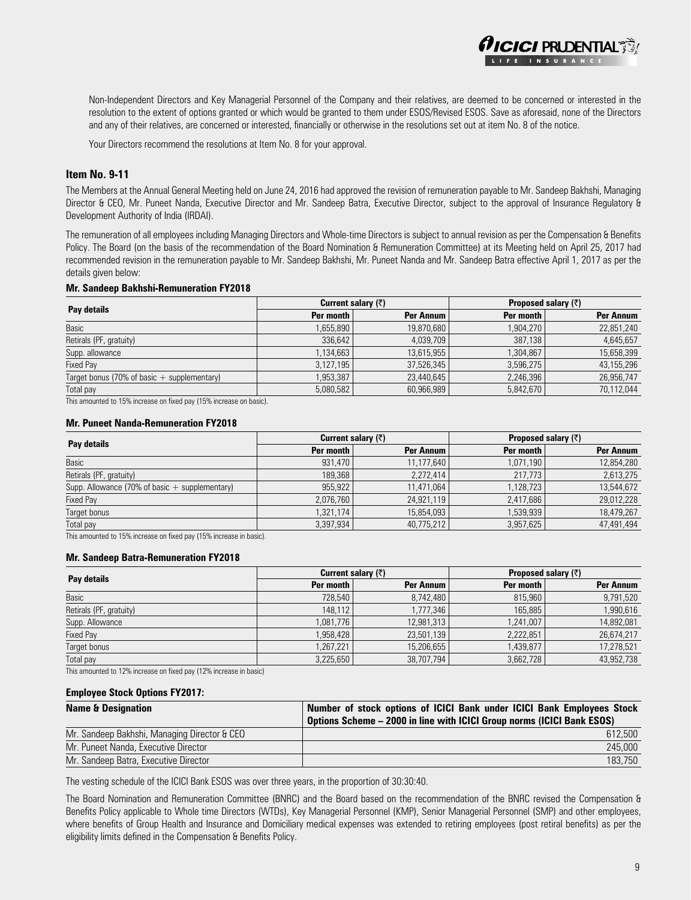Non-Independent Directors and Key Managerial Personnel of the Company and their relatives, are deemed to be concerned or interested in the resolution to the extent of options granted or which would be granted to them under ESOS/Revised ESOS. Save as aforesaid, none of the Directors and any of their relatives, are concerned or interested, financially or otherwise in the resolutions set out at item No. 8 of the notice.

**CICI PRUDENTIAL** 

Your Directors recommend the resolutions at Item No. 8 for your approval.

#### **Item No. 9-11**

The Members at the Annual General Meeting held on June 24, 2016 had approved the revision of remuneration payable to Mr. Sandeep Bakhshi, Managing Director & CEO, Mr. Puneet Nanda, Executive Director and Mr. Sandeep Batra, Executive Director, subject to the approval of Insurance Regulatory & Development Authority of India (IRDAI).

The remuneration of all employees including Managing Directors and Whole-time Directors is subject to annual revision as per the Compensation & Benefits Policy. The Board (on the basis of the recommendation of the Board Nomination & Remuneration Committee) at its Meeting held on April 25, 2017 had recommended revision in the remuneration payable to Mr. Sandeep Bakhshi, Mr. Puneet Nanda and Mr. Sandeep Batra effective April 1, 2017 as per the details given below:

#### **Mr. Sandeep Bakhshi-Remuneration FY2018**

|                                               |           | <b>Current salary (<math>\overline{\zeta}</math>)</b> | Proposed salary (₹) |            |  |
|-----------------------------------------------|-----------|-------------------------------------------------------|---------------------|------------|--|
| Pay details                                   | Per month | Per Annum                                             | Per month           | Per Annum  |  |
| Basic                                         | .655.890  | 19,870,680                                            | 1,904,270           | 22,851,240 |  |
| Retirals (PF, gratuity)                       | 336.642   | 4.039.709                                             | 387.138             | 4,645,657  |  |
| Supp. allowance                               | 1,134,663 | 13,615,955                                            | 1,304,867           | 15,658,399 |  |
| Fixed Pay                                     | 3,127,195 | 37,526,345                                            | 3,596,275           | 43,155,296 |  |
| Target bonus (70% of basic $+$ supplementary) | ,953,387  | 23,440,645                                            | 2,246,396           | 26,956,747 |  |
| Total pay                                     | 5,080,582 | 60,966,989                                            | 5,842,670           | 70,112,044 |  |

This amounted to 15% increase on fixed pay (15% increase on basic).

#### **Mr. Puneet Nanda-Remuneration FY2018**

| Pay details                                      | <b>Current salary (<math>\overline{\zeta}</math>)</b> |            | <b>Proposed salary <math>(\bar{\zeta})</math></b> |            |
|--------------------------------------------------|-------------------------------------------------------|------------|---------------------------------------------------|------------|
|                                                  | Per month                                             | Per Annum  | Per month                                         | Per Annum  |
| Basic                                            | 931,470                                               | 11,177,640 | 1,071,190                                         | 12,854,280 |
| Retirals (PF, gratuity)                          | 189.368                                               | 2.272.414  | 217.773                                           | 2,613,275  |
| Supp. Allowance (70% of basic $+$ supplementary) | 955.922                                               | 11.471.064 | 1,128,723                                         | 13,544,672 |
| <b>Fixed Pay</b>                                 | 2,076,760                                             | 24,921,119 | 2.417.686                                         | 29,012,228 |
| Target bonus                                     | 1,321,174                                             | 15,854,093 | 1,539,939                                         | 18,479,267 |
| Total pay                                        | 3,397,934                                             | 40,775,212 | 3,957,625                                         | 47,491,494 |

This amounted to 15% increase on fixed pay (15% increase in basic).

#### **Mr. Sandeep Batra-Remuneration FY2018**

| Pay details             | <b>Current salary (<math>\overline{z}</math>)</b> |            | <b>Proposed salary <math>(\bar{z})</math></b> |            |
|-------------------------|---------------------------------------------------|------------|-----------------------------------------------|------------|
|                         | Per month                                         | Per Annum  | Per month                                     | Per Annum  |
| Basic                   | 728.540                                           | 8.742.480  | 815,960                                       | 9,791,520  |
| Retirals (PF, gratuity) | 148,112                                           | 1,777,346  | 165,885                                       | 1,990,616  |
| Supp. Allowance         | 1,081,776                                         | 12,981,313 | 1,241,007                                     | 14,892,081 |
| <b>Fixed Pay</b>        | 1,958,428                                         | 23,501,139 | 2,222,851                                     | 26,674,217 |
| Target bonus            | 1,267,221                                         | 15,206,655 | 1,439,877                                     | 17,278,521 |
| Total pay               | 3,225,650                                         | 38,707,794 | 3,662,728                                     | 43,952,738 |

This amounted to 12% increase on fixed pay (12% increase in basic)

#### **Employee Stock Options FY2017:**

| <b>Name &amp; Designation</b>                | Number of stock options of ICICI Bank under ICICI Bank Employees Stock |
|----------------------------------------------|------------------------------------------------------------------------|
|                                              | Options Scheme - 2000 in line with ICICI Group norms (ICICI Bank ESOS) |
| Mr. Sandeep Bakhshi, Managing Director & CEO | 612.500                                                                |
| Mr. Puneet Nanda, Executive Director         | 245.000                                                                |
| Mr. Sandeep Batra, Executive Director        | 183.750                                                                |

The vesting schedule of the ICICI Bank ESOS was over three years, in the proportion of 30:30:40.

The Board Nomination and Remuneration Committee (BNRC) and the Board based on the recommendation of the BNRC revised the Compensation & Benefits Policy applicable to Whole time Directors (WTDs), Key Managerial Personnel (KMP), Senior Managerial Personnel (SMP) and other employees, where benefits of Group Health and Insurance and Domiciliary medical expenses was extended to retiring employees (post retiral benefits) as per the eligibility limits defined in the Compensation & Benefits Policy.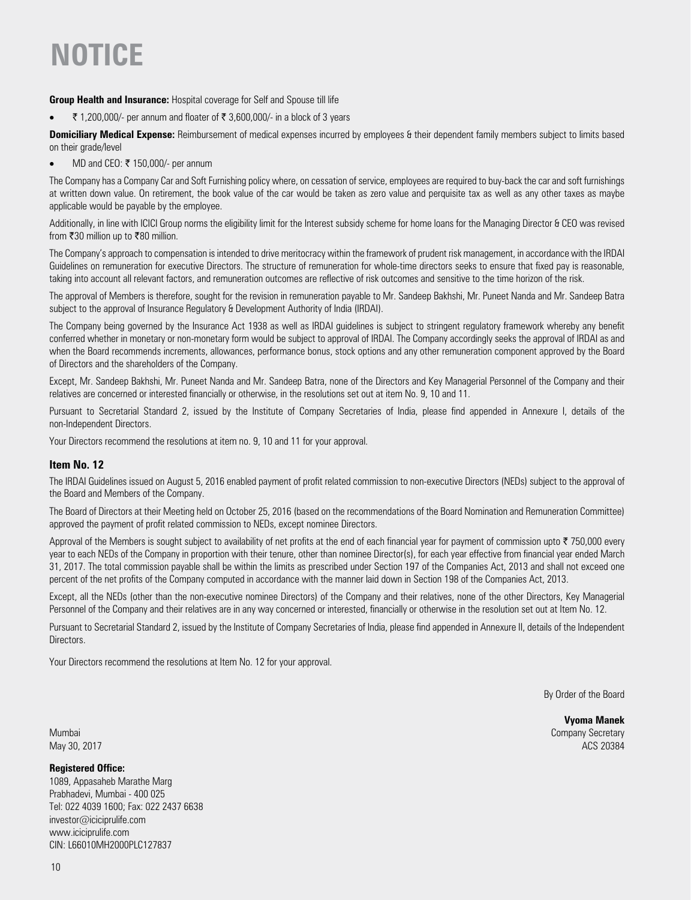#### **Group Health and Insurance:** Hospital coverage for Self and Spouse till life

•  $\bar{\tau}$  1,200,000/- per annum and floater of  $\bar{\tau}$  3,600,000/- in a block of 3 years

**Domiciliary Medical Expense:** Reimbursement of medical expenses incurred by employees & their dependent family members subject to limits based on their grade/level

• MD and CEO:  $\bar{\tau}$  150,000/- per annum

The Company has a Company Car and Soft Furnishing policy where, on cessation of service, employees are required to buy-back the car and soft furnishings at written down value. On retirement, the book value of the car would be taken as zero value and perquisite tax as well as any other taxes as maybe applicable would be payable by the employee.

Additionally, in line with ICICI Group norms the eligibility limit for the Interest subsidy scheme for home loans for the Managing Director & CEO was revised from  $\overline{\mathfrak{r}}30$  million up to  $\overline{\mathfrak{r}}80$  million.

The Company's approach to compensation is intended to drive meritocracy within the framework of prudent risk management, in accordance with the IRDAI Guidelines on remuneration for executive Directors. The structure of remuneration for whole-time directors seeks to ensure that fixed pay is reasonable, taking into account all relevant factors, and remuneration outcomes are reflective of risk outcomes and sensitive to the time horizon of the risk.

The approval of Members is therefore, sought for the revision in remuneration payable to Mr. Sandeep Bakhshi, Mr. Puneet Nanda and Mr. Sandeep Batra subject to the approval of Insurance Regulatory & Development Authority of India (IRDAI).

The Company being governed by the Insurance Act 1938 as well as IRDAI guidelines is subject to stringent regulatory framework whereby any benefit conferred whether in monetary or non-monetary form would be subject to approval of IRDAI. The Company accordingly seeks the approval of IRDAI as and when the Board recommends increments, allowances, performance bonus, stock options and any other remuneration component approved by the Board of Directors and the shareholders of the Company.

Except, Mr. Sandeep Bakhshi, Mr. Puneet Nanda and Mr. Sandeep Batra, none of the Directors and Key Managerial Personnel of the Company and their relatives are concerned or interested financially or otherwise, in the resolutions set out at item No. 9, 10 and 11.

Pursuant to Secretarial Standard 2, issued by the Institute of Company Secretaries of India, please find appended in Annexure I, details of the non-Independent Directors.

Your Directors recommend the resolutions at item no. 9, 10 and 11 for your approval.

#### **Item No. 12**

The IRDAI Guidelines issued on August 5, 2016 enabled payment of profit related commission to non-executive Directors (NEDs) subject to the approval of the Board and Members of the Company.

The Board of Directors at their Meeting held on October 25, 2016 (based on the recommendations of the Board Nomination and Remuneration Committee) approved the payment of profit related commission to NEDs, except nominee Directors.

Approval of the Members is sought subject to availability of net profits at the end of each financial year for payment of commission upto  $\bar{\tau}$  750,000 every year to each NEDs of the Company in proportion with their tenure, other than nominee Director(s), for each year effective from financial year ended March 31, 2017. The total commission payable shall be within the limits as prescribed under Section 197 of the Companies Act, 2013 and shall not exceed one percent of the net profits of the Company computed in accordance with the manner laid down in Section 198 of the Companies Act, 2013.

Except, all the NEDs (other than the non-executive nominee Directors) of the Company and their relatives, none of the other Directors, Key Managerial Personnel of the Company and their relatives are in any way concerned or interested, financially or otherwise in the resolution set out at Item No. 12.

Pursuant to Secretarial Standard 2, issued by the Institute of Company Secretaries of India, please find appended in Annexure II, details of the Independent Directors.

Your Directors recommend the resolutions at Item No. 12 for your approval.

By Order of the Board

**Vyoma Manek** Mumbai Company Secretary May 30, 2017 ACS 20384

#### **Registered Office:**

1089, Appasaheb Marathe Marg Prabhadevi, Mumbai - 400 025 Tel: 022 4039 1600; Fax: 022 2437 6638 investor@iciciprulife.com www.iciciprulife.com CIN: L66010MH2000PLC127837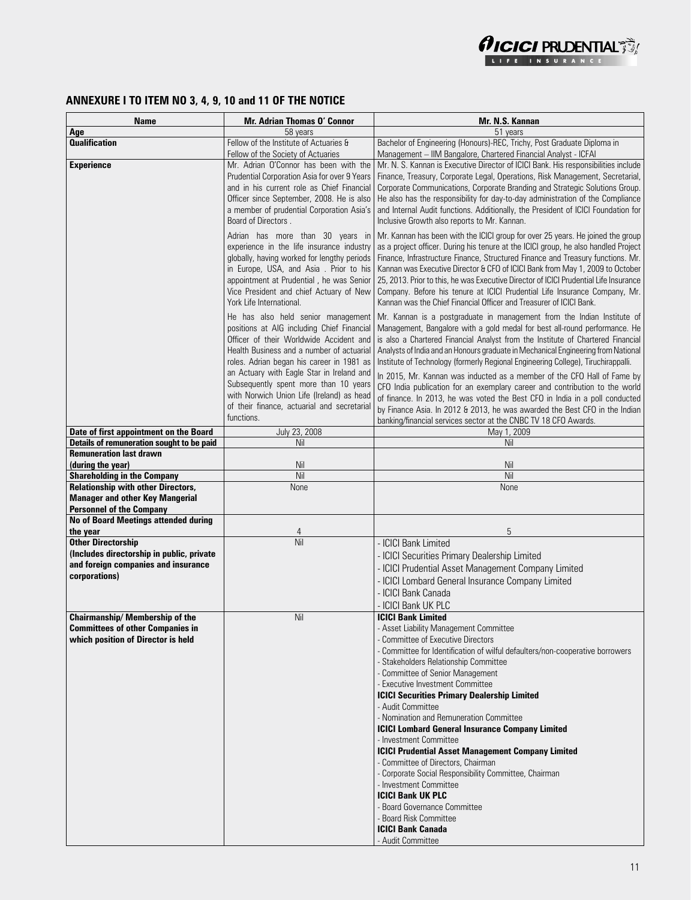

# **ANNEXURE I TO ITEM NO 3, 4, 9, 10 and 11 OF THE NOTICE**

| Name                                        | <b>Mr. Adrian Thomas O' Connor</b>           | Mr. N.S. Kannan                                                                                |
|---------------------------------------------|----------------------------------------------|------------------------------------------------------------------------------------------------|
| Age                                         | 58 years                                     | 51 years                                                                                       |
| <b>Qualification</b>                        | Fellow of the Institute of Actuaries &       | Bachelor of Engineering (Honours)-REC, Trichy, Post Graduate Diploma in                        |
|                                             | Fellow of the Society of Actuaries           | Management - IIM Bangalore, Chartered Financial Analyst - ICFAI                                |
| <b>Experience</b>                           | Mr. Adrian O'Connor has been with the        | Mr. N. S. Kannan is Executive Director of ICICI Bank. His responsibilities include             |
|                                             | Prudential Corporation Asia for over 9 Years | Finance, Treasury, Corporate Legal, Operations, Risk Management, Secretarial,                  |
|                                             | and in his current role as Chief Financial   | Corporate Communications, Corporate Branding and Strategic Solutions Group.                    |
|                                             | Officer since September, 2008. He is also    | He also has the responsibility for day-to-day administration of the Compliance                 |
|                                             | a member of prudential Corporation Asia's    | and Internal Audit functions. Additionally, the President of ICICI Foundation for              |
|                                             | Board of Directors.                          | Inclusive Growth also reports to Mr. Kannan.                                                   |
|                                             | Adrian has more than 30 years in             | Mr. Kannan has been with the ICICI group for over 25 years. He joined the group                |
|                                             | experience in the life insurance industry    | as a project officer. During his tenure at the ICICI group, he also handled Project            |
|                                             | globally, having worked for lengthy periods  | Finance, Infrastructure Finance, Structured Finance and Treasury functions. Mr.                |
|                                             | in Europe, USA, and Asia. Prior to his       | Kannan was Executive Director & CFO of ICICI Bank from May 1, 2009 to October                  |
|                                             | appointment at Prudential, he was Senior     | 25, 2013. Prior to this, he was Executive Director of ICICI Prudential Life Insurance          |
|                                             | Vice President and chief Actuary of New      | Company. Before his tenure at ICICI Prudential Life Insurance Company, Mr.                     |
|                                             | York Life International.                     | Kannan was the Chief Financial Officer and Treasurer of ICICI Bank.                            |
|                                             | He has also held senior management           | Mr. Kannan is a postgraduate in management from the Indian Institute of                        |
|                                             | positions at AIG including Chief Financial   | Management, Bangalore with a gold medal for best all-round performance. He                     |
|                                             | Officer of their Worldwide Accident and      | is also a Chartered Financial Analyst from the Institute of Chartered Financial                |
|                                             | Health Business and a number of actuarial    | Analysts of India and an Honours graduate in Mechanical Engineering from National              |
|                                             | roles. Adrian began his career in 1981 as    | Institute of Technology (formerly Regional Engineering College), Tiruchirappalli.              |
|                                             | an Actuary with Eagle Star in Ireland and    | In 2015, Mr. Kannan was inducted as a member of the CFO Hall of Fame by                        |
|                                             | Subsequently spent more than 10 years        | CFO India publication for an exemplary career and contribution to the world                    |
|                                             | with Norwich Union Life (Ireland) as head    | of finance. In 2013, he was voted the Best CFO in India in a poll conducted                    |
|                                             | of their finance, actuarial and secretarial  | by Finance Asia. In 2012 & 2013, he was awarded the Best CFO in the Indian                     |
|                                             | functions.                                   | banking/financial services sector at the CNBC TV 18 CFO Awards.                                |
| Date of first appointment on the Board      | July 23, 2008                                | May 1, 2009                                                                                    |
| Details of remuneration sought to be paid   | Nil                                          | Nil                                                                                            |
| <b>Remuneration last drawn</b>              |                                              |                                                                                                |
| (during the year)                           | Nil                                          | Nil                                                                                            |
| <b>Shareholding in the Company</b>          | Nil                                          | Nil                                                                                            |
| <b>Relationship with other Directors,</b>   | None                                         | None                                                                                           |
| <b>Manager and other Key Mangerial</b>      |                                              |                                                                                                |
| <b>Personnel of the Company</b>             |                                              |                                                                                                |
| <b>No of Board Meetings attended during</b> |                                              |                                                                                                |
| the year<br><b>Other Directorship</b>       | 4<br>Nil                                     | 5<br>- ICICI Bank Limited                                                                      |
| (Includes directorship in public, private   |                                              |                                                                                                |
| and foreign companies and insurance         |                                              | - ICICI Securities Primary Dealership Limited                                                  |
| corporations)                               |                                              | - ICICI Prudential Asset Management Company Limited                                            |
|                                             |                                              | - ICICI Lombard General Insurance Company Limited                                              |
|                                             |                                              | - ICICI Bank Canada                                                                            |
|                                             |                                              | - ICICI Bank UK PLC                                                                            |
| Chairmanship/ Membership of the             | Nil                                          | <b>ICICI Bank Limited</b>                                                                      |
| <b>Committees of other Companies in</b>     |                                              | - Asset Liability Management Committee                                                         |
| which position of Director is held          |                                              | - Committee of Executive Directors                                                             |
|                                             |                                              | - Committee for Identification of wilful defaulters/non-cooperative borrowers                  |
|                                             |                                              | - Stakeholders Relationship Committee                                                          |
|                                             |                                              | - Committee of Senior Management                                                               |
|                                             |                                              | - Executive Investment Committee                                                               |
|                                             |                                              | <b>ICICI Securities Primary Dealership Limited</b>                                             |
|                                             |                                              | - Audit Committee                                                                              |
|                                             |                                              | - Nomination and Remuneration Committee                                                        |
|                                             |                                              | <b>ICICI Lombard General Insurance Company Limited</b>                                         |
|                                             |                                              | - Investment Committee                                                                         |
|                                             |                                              | <b>ICICI Prudential Asset Management Company Limited</b><br>- Committee of Directors, Chairman |
|                                             |                                              | - Corporate Social Responsibility Committee, Chairman                                          |
|                                             |                                              | - Investment Committee                                                                         |
|                                             |                                              | <b>ICICI Bank UK PLC</b>                                                                       |
|                                             |                                              | - Board Governance Committee                                                                   |
|                                             |                                              | - Board Risk Committee                                                                         |
|                                             |                                              | <b>ICICI Bank Canada</b>                                                                       |
|                                             |                                              | - Audit Committee                                                                              |
|                                             |                                              |                                                                                                |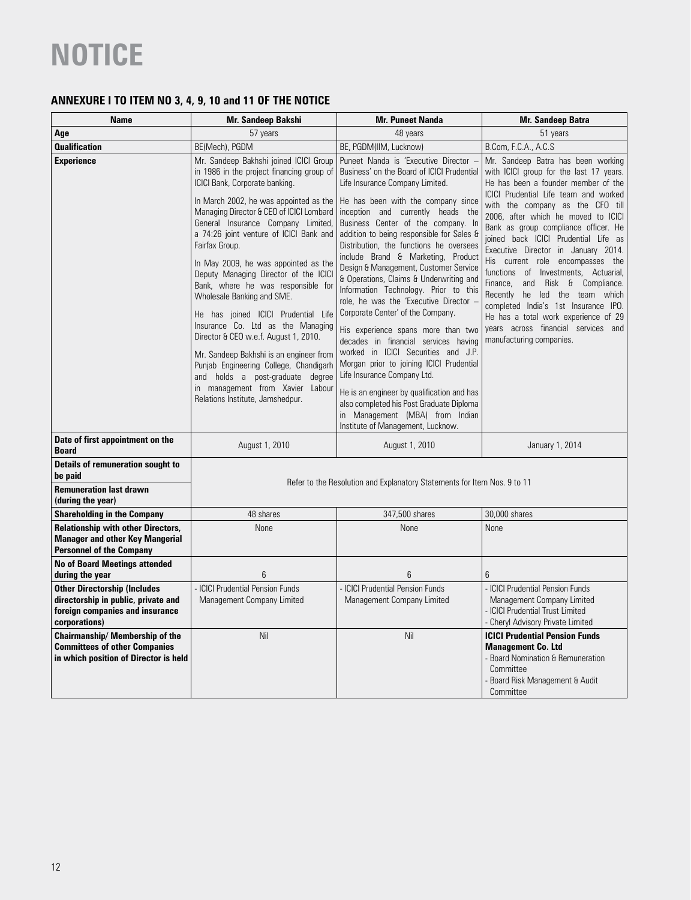# **ANNEXURE I TO ITEM NO 3, 4, 9, 10 and 11 OF THE NOTICE**

| <b>Name</b>                                                                                                                    | Mr. Sandeep Bakshi                                                                                                                                                                    | <b>Mr. Puneet Nanda</b>                                                                                                                                                                                                                     | Mr. Sandeep Batra                                                                                                                                                                              |  |
|--------------------------------------------------------------------------------------------------------------------------------|---------------------------------------------------------------------------------------------------------------------------------------------------------------------------------------|---------------------------------------------------------------------------------------------------------------------------------------------------------------------------------------------------------------------------------------------|------------------------------------------------------------------------------------------------------------------------------------------------------------------------------------------------|--|
| Age                                                                                                                            | 57 years                                                                                                                                                                              | 48 years                                                                                                                                                                                                                                    | 51 years                                                                                                                                                                                       |  |
| <b>Qualification</b>                                                                                                           | BE(Mech), PGDM                                                                                                                                                                        | BE, PGDM(IIM, Lucknow)                                                                                                                                                                                                                      | B.Com, F.C.A., A.C.S                                                                                                                                                                           |  |
| <b>Experience</b>                                                                                                              | Mr. Sandeep Bakhshi joined ICICI Group<br>in 1986 in the project financing group of<br>ICICI Bank, Corporate banking.                                                                 | Puneet Nanda is 'Executive Director -<br>Business' on the Board of ICICI Prudential<br>Life Insurance Company Limited.                                                                                                                      | Mr. Sandeep Batra has been working<br>with ICICI group for the last 17 years.<br>He has been a founder member of the<br>ICICI Prudential Life team and worked                                  |  |
|                                                                                                                                | In March 2002, he was appointed as the<br>Managing Director & CEO of ICICI Lombard<br>General Insurance Company Limited,<br>a 74:26 joint venture of ICICI Bank and<br>Fairfax Group. | He has been with the company since<br>inception and currently heads the<br>Business Center of the company. In<br>addition to being responsible for Sales &<br>Distribution, the functions he oversees<br>include Brand & Marketing, Product | with the company as the CFO till<br>2006, after which he moved to ICICI<br>Bank as group compliance officer. He<br>joined back ICICI Prudential Life as<br>Executive Director in January 2014. |  |
|                                                                                                                                | In May 2009, he was appointed as the<br>Deputy Managing Director of the ICICI<br>Bank, where he was responsible for<br>Wholesale Banking and SME.                                     | Design & Management, Customer Service<br>& Operations, Claims & Underwriting and<br>Information Technology. Prior to this<br>role, he was the 'Executive Director -                                                                         | His current role encompasses the<br>functions of Investments, Actuarial,<br>Finance,<br>and Risk & Compliance.<br>Recently he led the team which<br>completed India's 1st Insurance IPO.       |  |
|                                                                                                                                | He has joined ICICI Prudential Life<br>Insurance Co. Ltd as the Managing<br>Director & CEO w.e.f. August 1, 2010.                                                                     | Corporate Center' of the Company.<br>His experience spans more than two<br>decades in financial services having                                                                                                                             | He has a total work experience of 29<br>years across financial services and<br>manufacturing companies.                                                                                        |  |
|                                                                                                                                | Mr. Sandeep Bakhshi is an engineer from<br>Punjab Engineering College, Chandigarh<br>and holds a post-graduate degree                                                                 | worked in ICICI Securities and J.P.<br>Morgan prior to joining ICICI Prudential<br>Life Insurance Company Ltd.                                                                                                                              |                                                                                                                                                                                                |  |
|                                                                                                                                | in management from Xavier Labour<br>Relations Institute, Jamshedpur.                                                                                                                  | He is an engineer by qualification and has<br>also completed his Post Graduate Diploma<br>in Management (MBA) from Indian<br>Institute of Management, Lucknow.                                                                              |                                                                                                                                                                                                |  |
| Date of first appointment on the<br><b>Board</b>                                                                               | August 1, 2010                                                                                                                                                                        | August 1, 2010                                                                                                                                                                                                                              | January 1, 2014                                                                                                                                                                                |  |
| <b>Details of remuneration sought to</b><br>be paid                                                                            | Refer to the Resolution and Explanatory Statements for Item Nos. 9 to 11                                                                                                              |                                                                                                                                                                                                                                             |                                                                                                                                                                                                |  |
| <b>Remuneration last drawn</b><br>(during the year)                                                                            |                                                                                                                                                                                       |                                                                                                                                                                                                                                             |                                                                                                                                                                                                |  |
| <b>Shareholding in the Company</b>                                                                                             | 48 shares                                                                                                                                                                             | 347,500 shares                                                                                                                                                                                                                              | 30,000 shares                                                                                                                                                                                  |  |
| <b>Relationship with other Directors,</b><br><b>Manager and other Key Mangerial</b><br><b>Personnel of the Company</b>         | None                                                                                                                                                                                  | None                                                                                                                                                                                                                                        | None                                                                                                                                                                                           |  |
| <b>No of Board Meetings attended</b><br>during the year                                                                        | 6                                                                                                                                                                                     | 6                                                                                                                                                                                                                                           | 6                                                                                                                                                                                              |  |
| <b>Other Directorship (Includes</b><br>directorship in public, private and<br>foreign companies and insurance<br>corporations) | <b>ICICI Prudential Pension Funds</b><br>Management Company Limited                                                                                                                   | - ICICI Prudential Pension Funds<br>Management Company Limited                                                                                                                                                                              | - ICICI Prudential Pension Funds<br>Management Company Limited<br><b>ICICI Prudential Trust Limited</b><br>- Cheryl Advisory Private Limited                                                   |  |
| Chairmanship/ Membership of the<br><b>Committees of other Companies</b><br>in which position of Director is held               | Nil                                                                                                                                                                                   | Nil                                                                                                                                                                                                                                         | <b>ICICI Prudential Pension Funds</b><br><b>Management Co. Ltd</b><br>Board Nomination & Remuneration<br>Committee<br>Board Risk Management & Audit<br>Committee                               |  |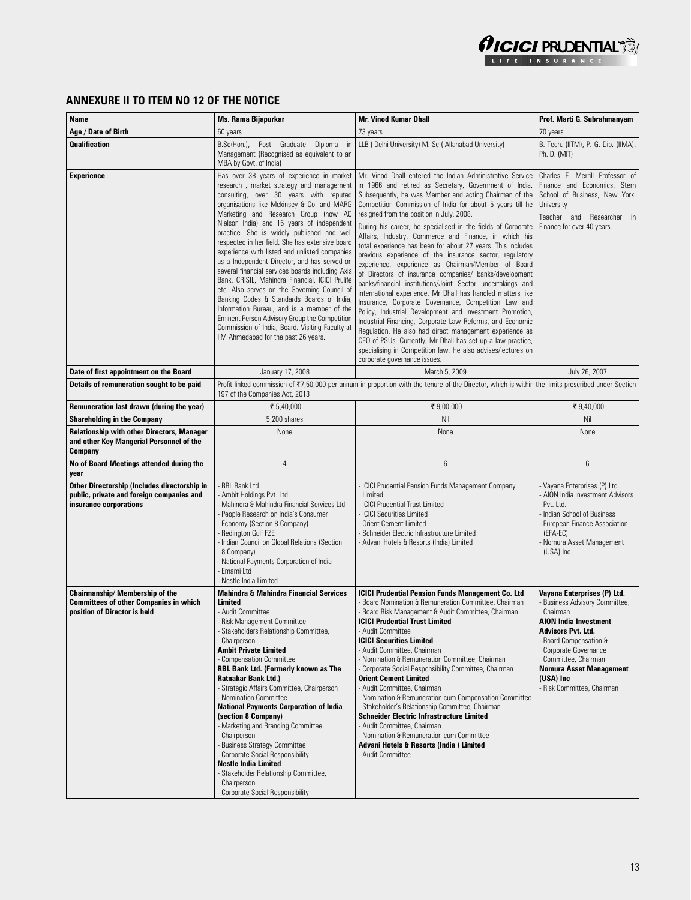

### **ANNEXURE II TO ITEM NO 12 OF THE NOTICE**

| Name                                                                                                                | Ms. Rama Bijapurkar                                                                                                                                                                                                                                                                                                                                                                                                                                                                                                                                                                                                                                                                                                                                                                                                                                                  | <b>Mr. Vinod Kumar Dhall</b>                                                                                                                                                                                                                                                                                                                                                                                                                                                                                                                                                                                                                                                                                                                                                                                                                                                                                                                                                                                                                                                                                                                                                                       | Prof. Marti G. Subrahmanyam                                                                                                                                                                                                                                                       |
|---------------------------------------------------------------------------------------------------------------------|----------------------------------------------------------------------------------------------------------------------------------------------------------------------------------------------------------------------------------------------------------------------------------------------------------------------------------------------------------------------------------------------------------------------------------------------------------------------------------------------------------------------------------------------------------------------------------------------------------------------------------------------------------------------------------------------------------------------------------------------------------------------------------------------------------------------------------------------------------------------|----------------------------------------------------------------------------------------------------------------------------------------------------------------------------------------------------------------------------------------------------------------------------------------------------------------------------------------------------------------------------------------------------------------------------------------------------------------------------------------------------------------------------------------------------------------------------------------------------------------------------------------------------------------------------------------------------------------------------------------------------------------------------------------------------------------------------------------------------------------------------------------------------------------------------------------------------------------------------------------------------------------------------------------------------------------------------------------------------------------------------------------------------------------------------------------------------|-----------------------------------------------------------------------------------------------------------------------------------------------------------------------------------------------------------------------------------------------------------------------------------|
| Age / Date of Birth                                                                                                 | 60 years                                                                                                                                                                                                                                                                                                                                                                                                                                                                                                                                                                                                                                                                                                                                                                                                                                                             | 73 years                                                                                                                                                                                                                                                                                                                                                                                                                                                                                                                                                                                                                                                                                                                                                                                                                                                                                                                                                                                                                                                                                                                                                                                           | 70 years                                                                                                                                                                                                                                                                          |
| <b>Qualification</b>                                                                                                | Post Graduate<br>B.Sc(Hon.),<br>Diploma<br>in<br>Management (Recognised as equivalent to an<br>MBA by Govt. of India)                                                                                                                                                                                                                                                                                                                                                                                                                                                                                                                                                                                                                                                                                                                                                | LLB (Delhi University) M. Sc (Allahabad University)                                                                                                                                                                                                                                                                                                                                                                                                                                                                                                                                                                                                                                                                                                                                                                                                                                                                                                                                                                                                                                                                                                                                                | B. Tech. (IITM), P. G. Dip. (IIMA),<br>Ph. D. (MIT)                                                                                                                                                                                                                               |
| <b>Experience</b>                                                                                                   | Has over 38 years of experience in market<br>research, market strategy and management<br>consulting, over 30 years with reputed<br>organisations like Mckinsey & Co. and MARG<br>Marketing and Research Group (now AC<br>Nielson India) and 16 years of independent<br>practice. She is widely published and well<br>respected in her field. She has extensive board<br>experience with listed and unlisted companies<br>as a Independent Director, and has served on<br>several financial services boards including Axis<br>Bank, CRISIL, Mahindra Financial, ICICI Prulife<br>etc. Also serves on the Governing Council of<br>Banking Codes & Standards Boards of India,<br>Information Bureau, and is a member of the<br>Eminent Person Advisory Group the Competition<br>Commission of India, Board. Visiting Faculty at<br>IIM Ahmedabad for the past 26 years. | Mr. Vinod Dhall entered the Indian Administrative Service<br>in 1966 and retired as Secretary, Government of India.<br>Subsequently, he was Member and acting Chairman of the<br>Competition Commission of India for about 5 years till he<br>resigned from the position in July, 2008.<br>During his career, he specialised in the fields of Corporate<br>Affairs, Industry, Commerce and Finance, in which his<br>total experience has been for about 27 years. This includes<br>previous experience of the insurance sector, regulatory<br>experience, experience as Chairman/Member of Board<br>of Directors of insurance companies/ banks/development<br>banks/financial institutions/Joint Sector undertakings and<br>international experience. Mr Dhall has handled matters like<br>Insurance, Corporate Governance, Competition Law and<br>Policy, Industrial Development and Investment Promotion,<br>Industrial Financing, Corporate Law Reforms, and Economic<br>Regulation. He also had direct management experience as<br>CEO of PSUs. Currently, Mr Dhall has set up a law practice,<br>specialising in Competition law. He also advises/lectures on<br>corporate governance issues. | Charles E. Merrill Professor of<br>Finance and Economics. Stern<br>School of Business, New York.<br>University<br>Teacher and Researcher in<br>Finance for over 40 years.                                                                                                         |
| Date of first appointment on the Board                                                                              | January 17, 2008                                                                                                                                                                                                                                                                                                                                                                                                                                                                                                                                                                                                                                                                                                                                                                                                                                                     | March 5, 2009                                                                                                                                                                                                                                                                                                                                                                                                                                                                                                                                                                                                                                                                                                                                                                                                                                                                                                                                                                                                                                                                                                                                                                                      | July 26, 2007                                                                                                                                                                                                                                                                     |
| Details of remuneration sought to be paid                                                                           | Profit linked commission of ₹7,50,000 per annum in proportion with the tenure of the Director, which is within the limits prescribed under Section<br>197 of the Companies Act, 2013                                                                                                                                                                                                                                                                                                                                                                                                                                                                                                                                                                                                                                                                                 |                                                                                                                                                                                                                                                                                                                                                                                                                                                                                                                                                                                                                                                                                                                                                                                                                                                                                                                                                                                                                                                                                                                                                                                                    |                                                                                                                                                                                                                                                                                   |
| Remuneration last drawn (during the year)                                                                           | ₹ 5,40,000                                                                                                                                                                                                                                                                                                                                                                                                                                                                                                                                                                                                                                                                                                                                                                                                                                                           | ₹9,00,000                                                                                                                                                                                                                                                                                                                                                                                                                                                                                                                                                                                                                                                                                                                                                                                                                                                                                                                                                                                                                                                                                                                                                                                          | ₹ 9,40,000                                                                                                                                                                                                                                                                        |
| Shareholding in the Company                                                                                         | 5,200 shares                                                                                                                                                                                                                                                                                                                                                                                                                                                                                                                                                                                                                                                                                                                                                                                                                                                         | Nil                                                                                                                                                                                                                                                                                                                                                                                                                                                                                                                                                                                                                                                                                                                                                                                                                                                                                                                                                                                                                                                                                                                                                                                                | Nil                                                                                                                                                                                                                                                                               |
| <b>Relationship with other Directors, Manager</b><br>and other Key Mangerial Personnel of the<br>Company            | None                                                                                                                                                                                                                                                                                                                                                                                                                                                                                                                                                                                                                                                                                                                                                                                                                                                                 | None                                                                                                                                                                                                                                                                                                                                                                                                                                                                                                                                                                                                                                                                                                                                                                                                                                                                                                                                                                                                                                                                                                                                                                                               | None                                                                                                                                                                                                                                                                              |
| No of Board Meetings attended during the<br>year                                                                    | $\overline{4}$                                                                                                                                                                                                                                                                                                                                                                                                                                                                                                                                                                                                                                                                                                                                                                                                                                                       | $6\phantom{1}$                                                                                                                                                                                                                                                                                                                                                                                                                                                                                                                                                                                                                                                                                                                                                                                                                                                                                                                                                                                                                                                                                                                                                                                     | 6                                                                                                                                                                                                                                                                                 |
| Other Directorship (Includes directorship in<br>public, private and foreign companies and<br>insurance corporations | - RBL Bank Ltd<br>- Ambit Holdings Pvt. Ltd<br>- Mahindra & Mahindra Financial Services Ltd<br>- People Research on India's Consumer<br>Economy (Section 8 Company)<br>- Redington Gulf FZE<br>Indian Council on Global Relations (Section<br>8 Company)<br>- National Payments Corporation of India<br>- Emami Ltd<br>- Nestle India Limited                                                                                                                                                                                                                                                                                                                                                                                                                                                                                                                        | ICICI Prudential Pension Funds Management Company<br>Limited<br>ICICI Prudential Trust Limited<br><b>ICICI Securities Limited</b><br>- Orient Cement Limited<br>- Schneider Electric Infrastructure Limited<br>- Advani Hotels & Resorts (India) Limited                                                                                                                                                                                                                                                                                                                                                                                                                                                                                                                                                                                                                                                                                                                                                                                                                                                                                                                                           | - Vayana Enterprises (P) Ltd.<br>- AION India Investment Advisors<br>Pvt. Ltd.<br>Indian School of Business<br>European Finance Association<br>(EFA-EC)<br>Nomura Asset Management<br>(USA) Inc.                                                                                  |
| Chairmanship/ Membership of the<br><b>Committees of other Companies in which</b><br>position of Director is held    | <b>Mahindra &amp; Mahindra Financial Services</b><br>Limited<br>- Audit Committee<br>- Risk Management Committee<br>Stakeholders Relationship Committee,<br>Chairperson<br><b>Ambit Private Limited</b><br>- Compensation Committee<br>RBL Bank Ltd. (Formerly known as The<br><b>Ratnakar Bank Ltd.)</b><br>- Strategic Affairs Committee, Chairperson<br>- Nomination Committee<br><b>National Payments Corporation of India</b><br>(section 8 Company)<br>- Marketing and Branding Committee,<br>Chairperson<br>- Business Strategy Committee<br>- Corporate Social Responsibility<br><b>Nestle India Limited</b><br>- Stakeholder Relationship Committee,<br>Chairperson<br>- Corporate Social Responsibility                                                                                                                                                    | <b>ICICI Prudential Pension Funds Management Co. Ltd</b><br>Board Nomination & Remuneration Committee, Chairman<br>Board Risk Management & Audit Committee, Chairman<br><b>ICICI Prudential Trust Limited</b><br>Audit Committee<br><b>ICICI Securities Limited</b><br>- Audit Committee, Chairman<br>- Nomination & Remuneration Committee, Chairman<br>Corporate Social Responsibility Committee, Chairman<br><b>Orient Cement Limited</b><br>- Audit Committee, Chairman<br>- Nomination & Remuneration cum Compensation Committee<br>- Stakeholder's Relationship Committee, Chairman<br><b>Schneider Electric Infrastructure Limited</b><br>- Audit Committee, Chairman<br>Nomination & Remuneration cum Committee<br>Advani Hotels & Resorts (India) Limited<br>- Audit Committee                                                                                                                                                                                                                                                                                                                                                                                                            | Vayana Enterprises (P) Ltd.<br>Business Advisory Committee,<br>Chairman<br><b>AION India Investment</b><br><b>Advisors Pvt. Ltd.</b><br>Board Compensation &<br>Corporate Governance<br>Committee, Chairman<br>Nomura Asset Management<br>(USA) Inc<br>- Risk Committee, Chairman |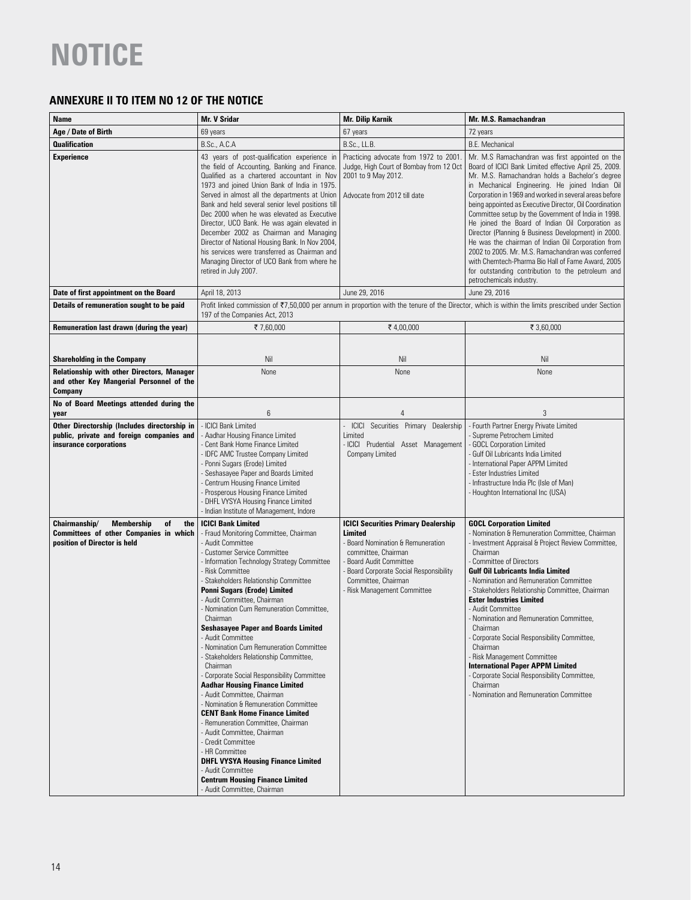### **ANNEXURE II TO ITEM NO 12 OF THE NOTICE**

| Name                                                                                                                      | <b>Mr. V Sridar</b>                                                                                                                                                                                                                                                                                                                                                                                                                                                                                                                                                                                                                                                                                                                                                                                                                                                                                                                                                                          | <b>Mr. Dilip Karnik</b>                                                                                                                                                                                                                             | Mr. M.S. Ramachandran                                                                                                                                                                                                                                                                                                                                                                                                                                                                                                                                                                                                                                                                                                                                  |
|---------------------------------------------------------------------------------------------------------------------------|----------------------------------------------------------------------------------------------------------------------------------------------------------------------------------------------------------------------------------------------------------------------------------------------------------------------------------------------------------------------------------------------------------------------------------------------------------------------------------------------------------------------------------------------------------------------------------------------------------------------------------------------------------------------------------------------------------------------------------------------------------------------------------------------------------------------------------------------------------------------------------------------------------------------------------------------------------------------------------------------|-----------------------------------------------------------------------------------------------------------------------------------------------------------------------------------------------------------------------------------------------------|--------------------------------------------------------------------------------------------------------------------------------------------------------------------------------------------------------------------------------------------------------------------------------------------------------------------------------------------------------------------------------------------------------------------------------------------------------------------------------------------------------------------------------------------------------------------------------------------------------------------------------------------------------------------------------------------------------------------------------------------------------|
| Age / Date of Birth                                                                                                       | 69 years                                                                                                                                                                                                                                                                                                                                                                                                                                                                                                                                                                                                                                                                                                                                                                                                                                                                                                                                                                                     | 67 years                                                                                                                                                                                                                                            | 72 years                                                                                                                                                                                                                                                                                                                                                                                                                                                                                                                                                                                                                                                                                                                                               |
| <b>Qualification</b>                                                                                                      | B.Sc., A.C.A                                                                                                                                                                                                                                                                                                                                                                                                                                                                                                                                                                                                                                                                                                                                                                                                                                                                                                                                                                                 | B.Sc., LL.B.                                                                                                                                                                                                                                        | <b>B.E. Mechanical</b>                                                                                                                                                                                                                                                                                                                                                                                                                                                                                                                                                                                                                                                                                                                                 |
| <b>Experience</b>                                                                                                         | 43 years of post-qualification experience in<br>the field of Accounting, Banking and Finance.<br>Qualified as a chartered accountant in Nov<br>1973 and joined Union Bank of India in 1975.<br>Served in almost all the departments at Union<br>Bank and held several senior level positions till<br>Dec 2000 when he was elevated as Executive<br>Director, UCO Bank. He was again elevated in<br>December 2002 as Chairman and Managing<br>Director of National Housing Bank. In Nov 2004,<br>his services were transferred as Chairman and<br>Managing Director of UCO Bank from where he<br>retired in July 2007.                                                                                                                                                                                                                                                                                                                                                                        | Practicing advocate from 1972 to 2001.<br>Judge, High Court of Bombay from 12 Oct<br>2001 to 9 May 2012.<br>Advocate from 2012 till date                                                                                                            | Mr. M.S Ramachandran was first appointed on the<br>Board of ICICI Bank Limited effective April 25, 2009.<br>Mr. M.S. Ramachandran holds a Bachelor's degree<br>in Mechanical Engineering. He joined Indian Oil<br>Corporation in 1969 and worked in several areas before<br>being appointed as Executive Director, Oil Coordination<br>Committee setup by the Government of India in 1998.<br>He joined the Board of Indian Oil Corporation as<br>Director (Planning & Business Development) in 2000.<br>He was the chairman of Indian Oil Corporation from<br>2002 to 2005. Mr. M.S. Ramachandran was conferred<br>with Chemtech-Pharma Bio Hall of Fame Award, 2005<br>for outstanding contribution to the petroleum and<br>petrochemicals industry. |
| Date of first appointment on the Board                                                                                    | April 18, 2013                                                                                                                                                                                                                                                                                                                                                                                                                                                                                                                                                                                                                                                                                                                                                                                                                                                                                                                                                                               | June 29, 2016                                                                                                                                                                                                                                       | June 29, 2016                                                                                                                                                                                                                                                                                                                                                                                                                                                                                                                                                                                                                                                                                                                                          |
| Details of remuneration sought to be paid                                                                                 | 197 of the Companies Act, 2013                                                                                                                                                                                                                                                                                                                                                                                                                                                                                                                                                                                                                                                                                                                                                                                                                                                                                                                                                               |                                                                                                                                                                                                                                                     | Profit linked commission of ₹7,50,000 per annum in proportion with the tenure of the Director, which is within the limits prescribed under Section                                                                                                                                                                                                                                                                                                                                                                                                                                                                                                                                                                                                     |
| Remuneration last drawn (during the year)                                                                                 | ₹7,60,000                                                                                                                                                                                                                                                                                                                                                                                                                                                                                                                                                                                                                                                                                                                                                                                                                                                                                                                                                                                    | ₹4,00,000                                                                                                                                                                                                                                           | ₹ 3,60,000                                                                                                                                                                                                                                                                                                                                                                                                                                                                                                                                                                                                                                                                                                                                             |
| <b>Shareholding in the Company</b>                                                                                        | Nil                                                                                                                                                                                                                                                                                                                                                                                                                                                                                                                                                                                                                                                                                                                                                                                                                                                                                                                                                                                          | Nil                                                                                                                                                                                                                                                 | Nil                                                                                                                                                                                                                                                                                                                                                                                                                                                                                                                                                                                                                                                                                                                                                    |
| Relationship with other Directors, Manager                                                                                | None                                                                                                                                                                                                                                                                                                                                                                                                                                                                                                                                                                                                                                                                                                                                                                                                                                                                                                                                                                                         | None                                                                                                                                                                                                                                                | None                                                                                                                                                                                                                                                                                                                                                                                                                                                                                                                                                                                                                                                                                                                                                   |
| and other Key Mangerial Personnel of the<br>Company                                                                       |                                                                                                                                                                                                                                                                                                                                                                                                                                                                                                                                                                                                                                                                                                                                                                                                                                                                                                                                                                                              |                                                                                                                                                                                                                                                     |                                                                                                                                                                                                                                                                                                                                                                                                                                                                                                                                                                                                                                                                                                                                                        |
| No of Board Meetings attended during the<br>year                                                                          | 6                                                                                                                                                                                                                                                                                                                                                                                                                                                                                                                                                                                                                                                                                                                                                                                                                                                                                                                                                                                            | $\overline{4}$                                                                                                                                                                                                                                      | 3                                                                                                                                                                                                                                                                                                                                                                                                                                                                                                                                                                                                                                                                                                                                                      |
| Other Directorship (Includes directorship in<br>public, private and foreign companies and<br>insurance corporations       | ICICI Bank Limited<br>- Aadhar Housing Finance Limited<br>- Cent Bank Home Finance Limited<br>- IDFC AMC Trustee Company Limited<br>- Ponni Sugars (Erode) Limited<br>- Seshasayee Paper and Boards Limited<br>- Centrum Housing Finance Limited<br>- Prosperous Housing Finance Limited<br>- DHFL VYSYA Housing Finance Limited<br>- Indian Institute of Management, Indore                                                                                                                                                                                                                                                                                                                                                                                                                                                                                                                                                                                                                 | Securities Primary Dealership<br>- ICICI<br>Limited<br>- ICICI Prudential Asset Management<br>Company Limited                                                                                                                                       | - Fourth Partner Energy Private Limited<br>- Supreme Petrochem Limited<br>- GOCL Corporation Limited<br>- Gulf Oil Lubricants India Limited<br>- International Paper APPM Limited<br>- Ester Industries Limited<br>- Infrastructure India Plc (Isle of Man)<br>- Houghton International Inc (USA)                                                                                                                                                                                                                                                                                                                                                                                                                                                      |
| Chairmanship/<br><b>Membership</b><br>of<br>the<br>Committees of other Companies in which<br>position of Director is held | <b>ICICI Bank Limited</b><br>- Fraud Monitoring Committee, Chairman<br>- Audit Committee<br>- Customer Service Committee<br>- Information Technology Strategy Committee<br>- Risk Committee<br>- Stakeholders Relationship Committee<br>Ponni Sugars (Erode) Limited<br>- Audit Committee, Chairman<br>Nomination Cum Remuneration Committee,<br>Chairman<br><b>Seshasayee Paper and Boards Limited</b><br>- Audit Committee<br>Nomination Cum Remuneration Committee<br>- Stakeholders Relationship Committee.<br>Chairman<br>- Corporate Social Responsibility Committee<br><b>Aadhar Housing Finance Limited</b><br>- Audit Committee, Chairman<br>- Nomination & Remuneration Committee<br><b>CENT Bank Home Finance Limited</b><br>- Remuneration Committee, Chairman<br>- Audit Committee, Chairman<br>- Credit Committee<br>- HR Committee<br><b>DHFL VYSYA Housing Finance Limited</b><br>- Audit Committee<br><b>Centrum Housing Finance Limited</b><br>- Audit Committee, Chairman | <b>ICICI Securities Primary Dealership</b><br>Limited<br>Board Nomination & Remuneration<br>committee, Chairman<br><b>Board Audit Committee</b><br><b>Board Corporate Social Responsibility</b><br>Committee, Chairman<br>Risk Management Committee | <b>GOCL Corporation Limited</b><br>- Nomination & Remuneration Committee, Chairman<br>- Investment Appraisal & Project Review Committee,<br>Chairman<br>- Committee of Directors<br><b>Gulf Oil Lubricants India Limited</b><br>- Nomination and Remuneration Committee<br>- Stakeholders Relationship Committee, Chairman<br><b>Ester Industries Limited</b><br>- Audit Committee<br>- Nomination and Remuneration Committee,<br>Chairman<br>Corporate Social Responsibility Committee,<br>Chairman<br>- Risk Management Committee<br><b>International Paper APPM Limited</b><br>- Corporate Social Responsibility Committee,<br>Chairman<br>- Nomination and Remuneration Committee                                                                  |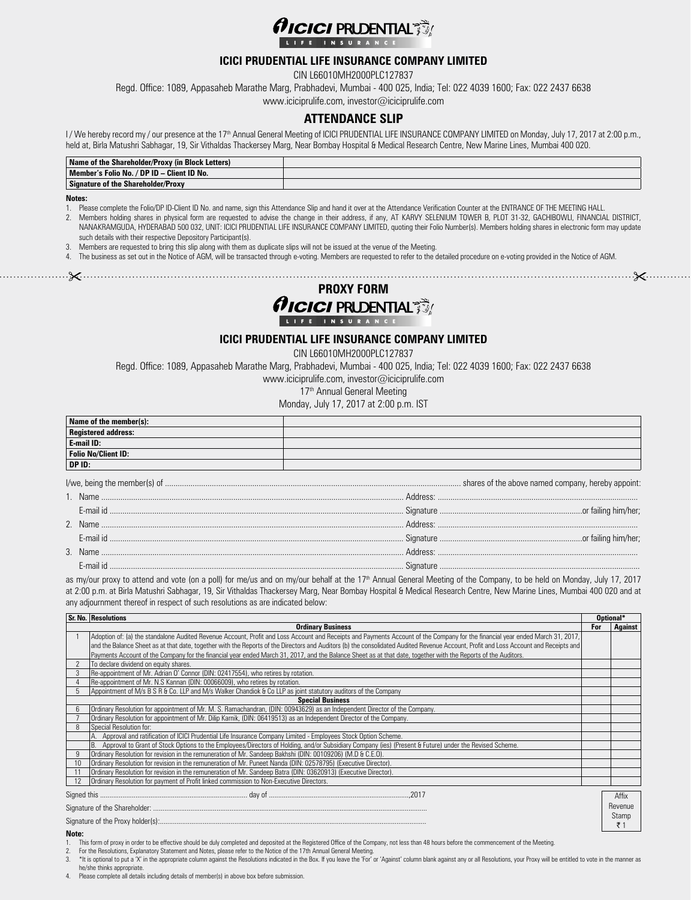

#### **ICICI PRUDENTIAL LIFE INSURANCE COMPANY LIMITED**

CIN L66010MH2000PLC127837

Regd. Office: 1089, Appasaheb Marathe Marg, Prabhadevi, Mumbai - 400 025, India; Tel: 022 4039 1600; Fax: 022 2437 6638

www.iciciprulife.com, investor@iciciprulife.com

#### **ATTENDANCE SLIP**

I / We hereby record my / our presence at the 17<sup>th</sup> Annual General Meeting of ICICI PRUDENTIAL LIFE INSURANCE COMPANY LIMITED on Monday, July 17, 2017 at 2:00 p.m., held at, Birla Matushri Sabhagar, 19, Sir Vithaldas Thackersey Marg, Near Bombay Hospital & Medical Research Centre, New Marine Lines, Mumbai 400 020.

| Name of the Shareholder/Proxy (in Block Letters) |  |
|--------------------------------------------------|--|
| Member's Folio No. / DP ID - Client ID No.       |  |
| Signature of the Shareholder/Proxy               |  |

#### **Notes:**

1. Please complete the Folio/DP ID-Client ID No. and name, sign this Attendance Slip and hand it over at the Attendance Verification Counter at the ENTRANCE OF THE MEETING HALL.

- 2. Members holding shares in physical form are requested to advise the change in their address, if any, AT KARVY SELENIUM TOWER B, PLOT 31-32, GACHIBOWLI, FINANCIAL DISTRICT, NANAKRAMGUDA, HYDERABAD 500 032, UNIT: ICICI PRUDENTIAL LIFE INSURANCE COMPANY LIMITED, quoting their Folio Number(s). Members holding shares in electronic form may update such details with their respective Depository Participant(s).
- 3. Members are requested to bring this slip along with them as duplicate slips will not be issued at the venue of the Meeting.
- 4. The business as set out in the Notice of AGM, will be transacted through e-voting. Members are requested to refer to the detailed procedure on e-voting provided in the Notice of AGM.
- 



#### **ICICI PRUDENTIAL LIFE INSURANCE COMPANY LIMITED**

CIN L66010MH2000PLC127837

Regd. Office: 1089, Appasaheb Marathe Marg, Prabhadevi, Mumbai - 400 025, India; Tel: 022 4039 1600; Fax: 022 2437 6638

www.iciciprulife.com, investor@iciciprulife.com

17<sup>th</sup> Annual General Meeting

Monday, July 17, 2017 at 2:00 p.m. IST

| Name of the member(s):        |  |
|-------------------------------|--|
| Registered address:           |  |
| E-mail ID:                    |  |
| Folio No/Client ID:<br>DP ID: |  |
|                               |  |
|                               |  |
|                               |  |
|                               |  |
|                               |  |

|    | -Nami        |  |  |
|----|--------------|--|--|
|    | - F-mail in  |  |  |
| ્ર | - Name       |  |  |
|    | $+$ mail $-$ |  |  |

as my/our proxy to attend and vote (on a poll) for me/us and on my/our behalf at the 17th Annual General Meeting of the Company, to be held on Monday, July 17, 2017 at 2:00 p.m. at Birla Matushri Sabhagar, 19, Sir Vithaldas Thackersey Marg, Near Bombay Hospital & Medical Research Centre, New Marine Lines, Mumbai 400 020 and at any adjournment thereof in respect of such resolutions as are indicated below:

|                         | <b>Sr. No. Resolutions</b>                                                                                                                                                            |     | Optional*       |  |
|-------------------------|---------------------------------------------------------------------------------------------------------------------------------------------------------------------------------------|-----|-----------------|--|
|                         | <b>Ordinary Business</b>                                                                                                                                                              | For | Against         |  |
|                         | Adoption of: (a) the standalone Audited Revenue Account, Profit and Loss Account and Receipts and Payments Account of the Company for the financial year ended March 31, 2017,        |     |                 |  |
|                         | and the Balance Sheet as at that date, together with the Reports of the Directors and Auditors (b) the consolidated Audited Revenue Account, Profit and Loss Account and Receipts and |     |                 |  |
|                         | Payments Account of the Company for the financial year ended March 31, 2017, and the Balance Sheet as at that date, together with the Reports of the Auditors.                        |     |                 |  |
|                         | To declare dividend on equity shares.                                                                                                                                                 |     |                 |  |
|                         | Re-appointment of Mr. Adrian O' Connor (DIN: 02417554), who retires by rotation.                                                                                                      |     |                 |  |
|                         | Re-appointment of Mr. N.S Kannan (DIN: 00066009), who retires by rotation.                                                                                                            |     |                 |  |
|                         | Appointment of M/s B S R & Co. LLP and M/s Walker Chandiok & Co LLP as joint statutory auditors of the Company                                                                        |     |                 |  |
| <b>Special Business</b> |                                                                                                                                                                                       |     |                 |  |
|                         | Ordinary Resolution for appointment of Mr. M. S. Ramachandran, (DIN: 00943629) as an Independent Director of the Company.                                                             |     |                 |  |
|                         | Ordinary Resolution for appointment of Mr. Dilip Karnik, (DIN: 06419513) as an Independent Director of the Company.                                                                   |     |                 |  |
|                         | Special Resolution for:                                                                                                                                                               |     |                 |  |
|                         | Approval and ratification of ICICI Prudential Life Insurance Company Limited - Employees Stock Option Scheme.                                                                         |     |                 |  |
|                         | Approval to Grant of Stock Options to the Employees/Directors of Holding, and/or Subsidiary Company (ies) (Present & Future) under the Revised Scheme.                                |     |                 |  |
|                         | Ordinary Resolution for revision in the remuneration of Mr. Sandeep Bakhshi (DIN: 00109206) (M.D & C.E.O).                                                                            |     |                 |  |
|                         | Ordinary Resolution for revision in the remuneration of Mr. Puneet Nanda (DIN: 02578795) (Executive Director).                                                                        |     |                 |  |
|                         | Ordinary Resolution for revision in the remuneration of Mr. Sandeep Batra (DIN: 03620913) (Executive Director).                                                                       |     |                 |  |
|                         | Ordinary Resolution for payment of Profit linked commission to Non-Executive Directors.                                                                                               |     |                 |  |
|                         |                                                                                                                                                                                       |     | Affix           |  |
|                         |                                                                                                                                                                                       |     |                 |  |
|                         |                                                                                                                                                                                       |     | Revenue         |  |
|                         |                                                                                                                                                                                       |     | Stamp           |  |
|                         |                                                                                                                                                                                       |     | $\overline{5}1$ |  |

#### **Note:**

- 1. This form of proxy in order to be effective should be duly completed and deposited at the Registered Office of the Company, not less than 48 hours before the commencement of the Meeting.
- 
- 2. For the Resolutions, Explanatory Statement and Notes, please refer to the Notice of the 17th Annual General Meeting.<br>3. \*It is optional to put a 'X' in the appropriate column against the Resolutions indicated in the Box he/she thinks appropriate.
- Please complete all details including details of member(s) in above box before submission.